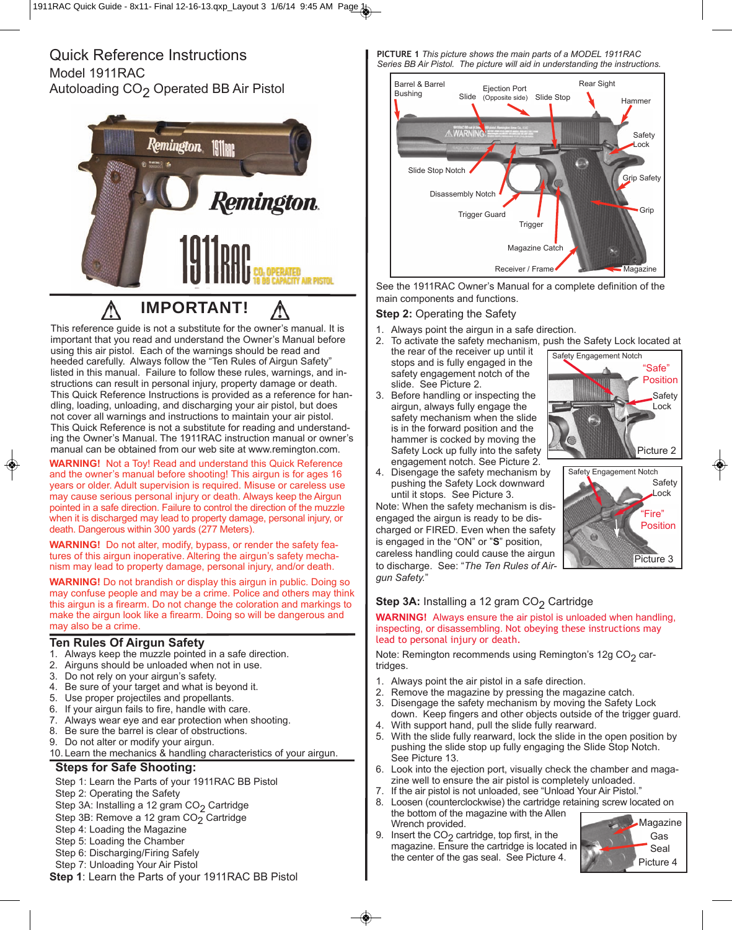## Quick Reference Instructions Model 1911RAC Autoloading CO<sub>2</sub> Operated BB Air Pistol



## **IMPORTANT!**

This reference guide is not a substitute for the owner's manual. It is important that you read and understand the Owner's Manual before using this air pistol. Each of the warnings should be read and heeded carefully. Always follow the "Ten Rules of Airgun Safety" listed in this manual. Failure to follow these rules, warnings, and instructions can result in personal injury, property damage or death. This Quick Reference Instructions is provided as a reference for handling, loading, unloading, and discharging your air pistol, but does not cover all warnings and instructions to maintain your air pistol. This Quick Reference is not a substitute for reading and understanding the Owner's Manual. The 1911RAC instruction manual or owner's manual can be obtained from our web site at www.remington.com.

**WARNING!** Not a Toy! Read and understand this Quick Reference and the owner's manual before shooting! This airgun is for ages 16 years or older. Adult supervision is required. Misuse or careless use may cause serious personal injury or death. Always keep the Airgun pointed in a safe direction. Failure to control the direction of the muzzle when it is discharged may lead to property damage, personal injury, or death. Dangerous within 300 yards (277 Meters).

**WARNING!** Do not alter, modify, bypass, or render the safety features of this airgun inoperative. Altering the airgun's safety mechanism may lead to property damage, personal injury, and/or death.

**WARNING!** Do not brandish or display this airgun in public. Doing so may confuse people and may be a crime. Police and others may think this airgun is a firearm. Do not change the coloration and markings to make the airgun look like a firearm. Doing so will be dangerous and may also be a crime.

#### **Ten Rules Of Airgun Safety**

- 1. Always keep the muzzle pointed in a safe direction.
- 2. Airguns should be unloaded when not in use.<br>3. Do not rely on your airgun's safety.
- Do not rely on your airgun's safety.
- 4. Be sure of your target and what is beyond it.
- 5. Use proper projectiles and propellants.
- 6. If your airgun fails to fire, handle with care.
- 7. Always wear eye and ear protection when shooting.
- 8. Be sure the barrel is clear of obstructions.
- 9. Do not alter or modify your airgun.
- 10. Learn the mechanics & handling characteristics of your airgun.

#### **Steps for Safe Shooting:**

- Step 1: Learn the Parts of your 1911RAC BB Pistol
- Step 2: Operating the Safety
- Step 3A: Installing a 12 gram CO<sub>2</sub> Cartridge
- Step 3B: Remove a 12 gram  $CO<sub>2</sub>$  Cartridge
- Step 4: Loading the Magazine
- Step 5: Loading the Chamber
- Step 6: Discharging/Firing Safely
- Step 7: Unloading Your Air Pistol
- **Step 1**: Learn the Parts of your 1911RAC BB Pistol

**PICTURE 1** *This picture shows the main parts of a MODEL 1911RAC Series BB Air Pistol. The picture will aid in understanding the instructions.*



See the 1911RAC Owner's Manual for a complete definition of the main components and functions.

#### **Step 2:** Operating the Safety

- 1. Always point the airgun in a safe direction.<br>2. To activate the safety mechanism, push the
- To activate the safety mechanism, push the Safety Lock located at Safety Engagement Notch
- the rear of the receiver up until it stops and is fully engaged in the safety engagement notch of the slide. See Picture 2.
- 3. Before handling or inspecting the airgun, always fully engage the safety mechanism when the slide is in the forward position and the hammer is cocked by moving the Safety Lock up fully into the safety engagement notch. See Picture 2.
- 4. Disengage the safety mechanism by pushing the Safety Lock downward until it stops. See Picture 3.

Note: When the safety mechanism is disengaged the airgun is ready to be discharged or FIRED. Even when the safety is engaged in the "ON" or "**S**" position, careless handling could cause the airgun to discharge. See: "*The Ten Rules of Airgun Safety.*"

#### **Step 3A:** Installing a 12 gram CO<sub>2</sub> Cartridge

**WARNING!** Always ensure the air pistol is unloaded when handling, inspecting, or disassembling. Not obeying these instructions may lead to personal injury or death.

Note: Remington recommends using Remington's 12g CO<sub>2</sub> cartridges.

- 1. Always point the air pistol in a safe direction.
- 2. Remove the magazine by pressing the magazine catch.<br>3. Disengage the safety mechanism by moving the Safety
- Disengage the safety mechanism by moving the Safety Lock down. Keep fingers and other objects outside of the trigger guard. 4. With support hand, pull the slide fully rearward.
- 5. With the slide fully rearward, lock the slide in the open position by pushing the slide stop up fully engaging the Slide Stop Notch. See Picture 13.
- 6. Look into the ejection port, visually check the chamber and magazine well to ensure the air pistol is completely unloaded.
- 7. If the air pistol is not unloaded, see "Unload Your Air Pistol." 8. Loosen (counterclockwise) the cartridge retaining screw located on the bottom of the magazine with the Allen
- Wrench provided. 9. Insert the  $CO<sub>2</sub>$  cartridge, top first, in the magazine. Ensure the cartridge is located in

the center of the gas seal. See Picture 4.

◈





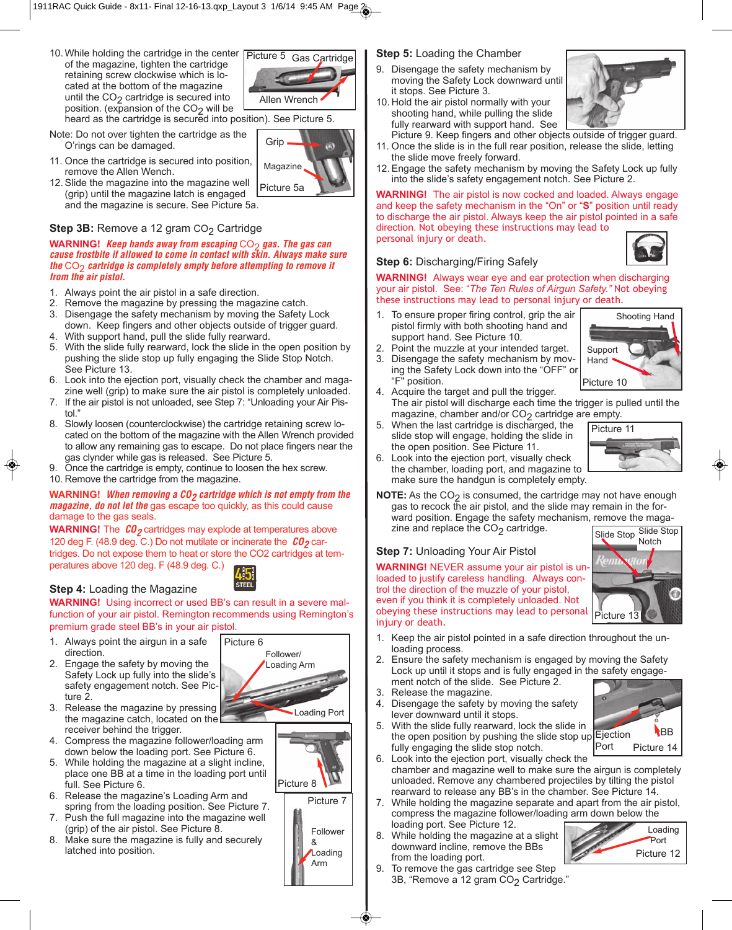10. While holding the cartridge in the center  $\sqrt{\frac{P}{Q}}$ of the magazine, tighten the cartridge retaining screw clockwise which is located at the bottom of the magazine until the  $CO<sub>2</sub>$  cartridge is secured into position. (expansion of the  $CO<sub>2</sub>$  will be



Magazine

Grip

heard as the cartridge is secured into position). See Picture 5.

- Note: Do not over tighten the cartridge as the O'rings can be damaged.
- 11. Once the cartridge is secured into position, remove the Allen Wench.
- 12. Slide the magazine into the magazine well (grip) until the magazine latch is engaged and the magazine is secure. See Picture 5a. Picture 5a

#### **Step 3B:** Remove a 12 gram CO<sub>2</sub> Cartridge

#### **WARNING!** *Keep hands away from escaping*  $CO<sub>2</sub>$  *gas. The gas can cause frostbite if allowed to come in contact with skin. Always make sure the* CO<sub>2</sub> *cartridge is completely empty before attempting to remove it from the air pistol.*

- 1. Always point the air pistol in a safe direction.
- 2. Remove the magazine by pressing the magazine catch.
- 3. Disengage the safety mechanism by moving the Safety Lock down. Keep fingers and other objects outside of trigger guard.
- With support hand, pull the slide fully rearward.
- 5. With the slide fully rearward, lock the slide in the open position by pushing the slide stop up fully engaging the Slide Stop Notch. See Picture 13.
- 6. Look into the ejection port, visually check the chamber and magazine well (grip) to make sure the air pistol is completely unloaded.
- 7. If the air pistol is not unloaded, see Step 7: "Unloading your Air Pistol<sup>"</sup>
- 8. Slowly loosen (counterclockwise) the cartridge retaining screw located on the bottom of the magazine with the Allen Wrench provided to allow any remaining gas to escape. Do not place fingers near the gas clynder while gas is released. See Picture 5.
- 9. Once the cartridge is empty, continue to loosen the hex screw.
- 10. Remove the cartridge from the magazine.

#### **WARNING!** *When removing a CO<sub>2</sub> cartridge which is not empty from the magazine, do not let the* gas escape too quickly, as this could cause damage to the gas seals.

**WARNING!** The  $CO<sub>2</sub>$  cartridges may explode at temperatures above 120 deg F. (48.9 deg. C.) Do not mutilate or incinerate the  $CO<sub>2</sub>$  cartridges. Do not expose them to heat or store the CO2 cartridges at temperatures above 120 deg. F (48.9 deg. C.)



#### **Step 4:** Loading the Magazine

**WARNING!** Using incorrect or used BB's can result in a severe malfunction of your air pistol. Remington recommends using Remington's premium grade steel BB's in your air pistol.

- 1. Always point the airgun in a safe direction.
- 2. Engage the safety by moving the Safety Lock up fully into the slide's safety engagement notch. See Picture 2.



- 3. Release the magazine by pressing the magazine catch, located on the receiver behind the trigger.
- 4. Compress the magazine follower/loading arm down below the loading port. See Picture 6.
- 5. While holding the magazine at a slight incline, place one BB at a time in the loading port until full. See Picture 6.
- 6. Release the magazine's Loading Arm and spring from the loading position. See Picture 7.
- 7. Push the full magazine into the magazine well (grip) of the air pistol. See Picture 8.
- 8. Make sure the magazine is fully and securely latched into position.

#### **Step 5:** Loading the Chamber

9. Disengage the safety mechanism by moving the Safety Lock downward until it stops. See Picture 3. 10. Hold the air pistol normally with your

shooting hand, while pulling the slide fully rearward with support hand. See



- Picture 9. Keep fingers and other objects outside of trigger guard. 11. Once the slide is in the full rear position, release the slide, letting
- the slide move freely forward. 12. Engage the safety mechanism by moving the Safety Lock up fully into the slide's safety engagement notch. See Picture 2.

**WARNING!** The air pistol is now cocked and loaded. Always engage and keep the safety mechanism in the "On" or "**S**" position until ready to discharge the air pistol. Always keep the air pistol pointed in a safe direction. Not obeying these instructions may lead to personal injury or death.



Shooting Hand

#### **Step 6:** Discharging/Firing Safely

**WARNING!** Always wear eye and ear protection when discharging your air pistol. See: "*The Ten Rules of Airgun Safety."* Not obeying these instructions may lead to personal injury or death.

- 1. To ensure proper firing control, grip the air pistol firmly with both shooting hand and support hand. See Picture 10.
- 2. Point the muzzle at your intended target.
- Disengage the safety mechanism by moving the Safety Lock down into the "OFF" or "F" position.
- 4. Acquire the target and pull the trigger. The air pistol will discharge each time the trigger is pulled until the magazine, chamber and/or  $CO<sub>2</sub>$  cartridge are empty.
- 5. When the last cartridge is discharged, the slide stop will engage, holding the slide in the open position. See Picture 11.



- Look into the ejection port, visually check the chamber, loading port, and magazine to make sure the handgun is completely empty.
- **NOTE:** As the CO<sub>2</sub> is consumed, the cartridge may not have enough gas to recock the air pistol, and the slide may remain in the forward position. Engage the safety mechanism, remove the magazine and replace the  $CO<sub>2</sub>$  cartridge.

#### **Step 7:** Unloading Your Air Pistol

**WARNING!** NEVER assume your air pistol is unloaded to justify careless handling. Always control the direction of the muzzle of your pistol, even if you think it is completely unloaded. Not obeying these instructions may lead to personal injury or death.



- 1. Keep the air pistol pointed in a safe direction throughout the unloading process.
- 2. Ensure the safety mechanism is engaged by moving the Safety Lock up until it stops and is fully engaged in the safety engagement notch of the slide. See Picture 2.
- 
- lever downward until it stops.
- the open position by pushing the slide stop up Ejection fully engaging the slide stop notch. Port
- 6. Look into the ejection port, visually check the chamber and magazine well to make sure the airgun is completely unloaded. Remove any chambered projectiles by tilting the pistol rearward to release any BB's in the chamber. See Picture 14.
- 7. While holding the magazine separate and apart from the air pistol, compress the magazine follower/loading arm down below the loading port. See Picture 12.
- 8. While holding the magazine at a slight downward incline, remove the BBs from the loading port.



Picture 14

BB

9. To remove the gas cartridge see Step 3B, "Remove a 12 gram CO<sub>2</sub> Cartridge."

- 3. Release the magazine.
- 4. Disengage the safety by moving the safety

5. With the slide fully rearward, lock the slide in











- 
- 

# Picture 10

Support **Hand**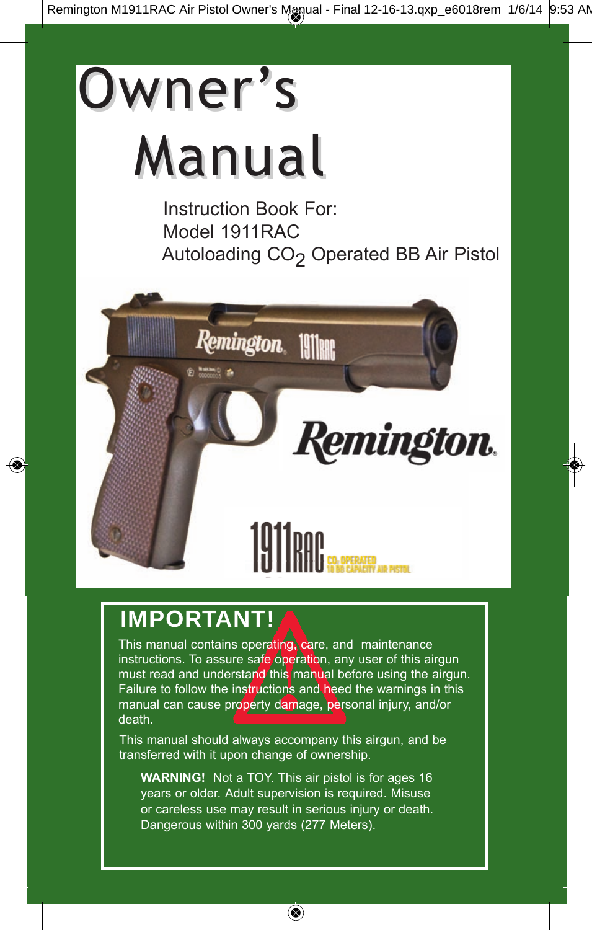# Owner's Manual

Instruction Book For: Model 1911RAC Autoloading CO<sub>2</sub> Operated BB Air Pistol



## **IMPORTANT!**

This manual contains operating, care, and maintenance instructions. To assure safe operation, any user of this airgun must read and understand this manual before using the airgun. Failure to follow the instructions and heed the warnings in this manual can cause property damage, personal injury, and/or death.

This manual should always accompany this airgun, and be transferred with it upon change of ownership.

**WARNING!** Not a TOY. This air pistol is for ages 16 years or older. Adult supervision is required. Misuse or careless use may result in serious injury or death. Dangerous within 300 yards (277 Meters).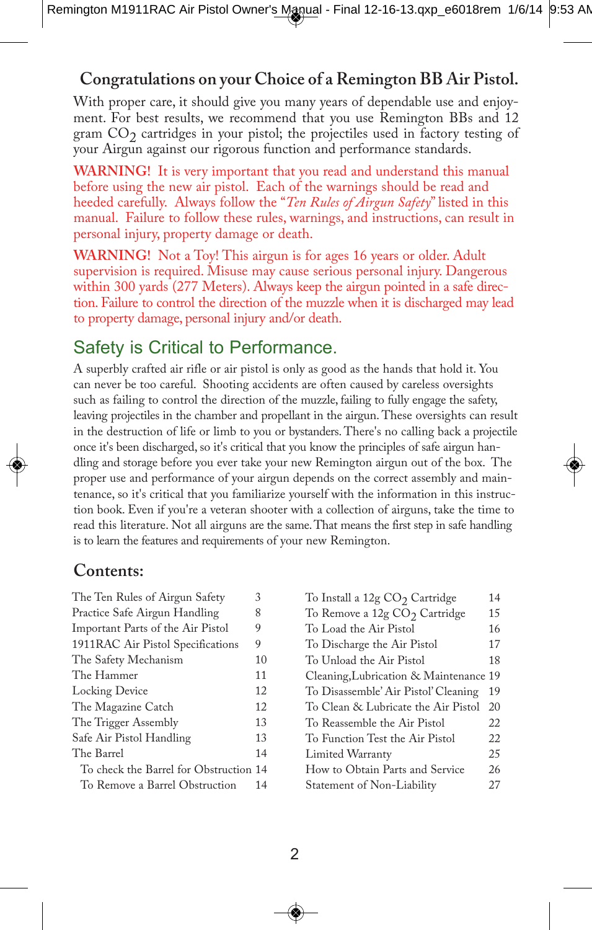#### **Congratulations on your Choice of a Remington BB Air Pistol.**

With proper care, it should give you many years of dependable use and enjoyment. For best results, we recommend that you use Remington BBs and 12 gram  $CO<sub>2</sub>$  cartridges in your pistol; the projectiles used in factory testing of your Airgun against our rigorous function and performance standards.

**WARNING!** It is very important that you read and understand this manual before using the new air pistol. Each of the warnings should be read and heeded carefully. Always follow the "*Ten Rules of Airgun Safety*" listed in this manual. Failure to follow these rules, warnings, and instructions, can result in personal injury, property damage or death.

**WARNING!** Not a Toy! This airgun is for ages 16 years or older. Adult supervision is required. Misuse may cause serious personal injury. Dangerous within 300 yards (277 Meters). Always keep the airgun pointed in a safe direction. Failure to control the direction of the muzzle when it is discharged may lead to property damage, personal injury and/or death.

#### Safety is Critical to Performance.

A superbly crafted air rifle or air pistol is only as good as the hands that hold it. You can never be too careful. Shooting accidents are often caused by careless oversights such as failing to control the direction of the muzzle, failing to fully engage the safety, leaving projectiles in the chamber and propellant in the airgun. These oversights can result in the destruction of life or limb to you or bystanders. There's no calling back a projectile once it's been discharged, so it's critical that you know the principles of safe airgun handling and storage before you ever take your new Remington airgun out of the box. The proper use and performance of your airgun depends on the correct assembly and maintenance, so it's critical that you familiarize yourself with the information in this instruction book. Even if you're a veteran shooter with a collection of airguns, take the time to read this literature. Not all airguns are the same. That means the first step in safe handling is to learn the features and requirements of your new Remington.

#### **Contents:**

| The Ten Rules of Airgun Safety         | 3  |
|----------------------------------------|----|
| Practice Safe Airgun Handling          | 8  |
| Important Parts of the Air Pistol      | 9  |
| 1911RAC Air Pistol Specifications      | 9  |
| The Safety Mechanism                   | 10 |
| The Hammer                             | 11 |
| Locking Device                         | 12 |
| The Magazine Catch                     | 12 |
| The Trigger Assembly                   | 13 |
| Safe Air Pistol Handling               | 13 |
| The Barrel                             | 14 |
| To check the Barrel for Obstruction 14 |    |
| To Remove a Barrel Obstruction         | 14 |

| To Install a 12g CO <sub>2</sub> Cartridge | 14 |
|--------------------------------------------|----|
| To Remove a 12g CO <sub>2</sub> Cartridge  | 15 |
| To Load the Air Pistol                     | 16 |
| To Discharge the Air Pistol                | 17 |
| To Unload the Air Pistol                   | 18 |
| Cleaning, Lubrication & Maintenance 19     |    |
| To Disassemble' Air Pistol' Cleaning       | 19 |
| To Clean & Lubricate the Air Pistol        | 20 |
| To Reassemble the Air Pistol               | 22 |
| To Function Test the Air Pistol            | 22 |
| Limited Warranty                           | 25 |
| How to Obtain Parts and Service            | 26 |
| Statement of Non-Liability                 | 27 |
|                                            |    |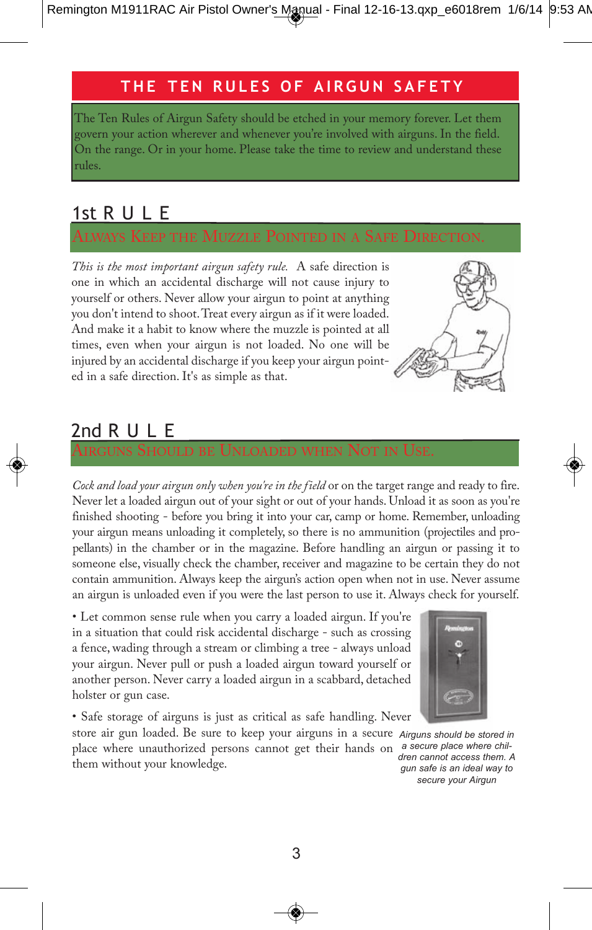#### **T h e T e n R u l e s o f A i R g u n s A f e T y**

The Ten Rules of Airgun Safety should be etched in your memory forever. Let them govern your action wherever and whenever you're involved with airguns. In the field. On the range. Or in your home. Please take the time to review and understand these rules.

#### 1st R U L E

*This is the most important airgun safety rule.* A safe direction is one in which an accidental discharge will not cause injury to yourself or others. Never allow your airgun to point at anything you don't intend to shoot. Treat every airgun as if it were loaded. And make it a habit to know where the muzzle is pointed at all times, even when your airgun is not loaded. No one will be injured by an accidental discharge if you keep your airgun pointed in a safe direction. It's as simple as that.



### 2nd R U L E

AIRGUNS SHOULD BE UNLOADED WHEN NOT IN USE.

*Cock and load your airgun only when you're in the field* or on the target range and ready to fire. Never let a loaded airgun out of your sight or out of your hands. Unload it as soon as you're finished shooting - before you bring it into your car, camp or home. Remember, unloading your airgun means unloading it completely, so there is no ammunition (projectiles and propellants) in the chamber or in the magazine. Before handling an airgun or passing it to someone else, visually check the chamber, receiver and magazine to be certain they do not contain ammunition. Always keep the airgun's action open when not in use. Never assume an airgun is unloaded even if you were the last person to use it. Always check for yourself.

• Let common sense rule when you carry a loaded airgun. If you're in a situation that could risk accidental discharge - such as crossing a fence, wading through a stream or climbing a tree - always unload your airgun. Never pull or push a loaded airgun toward yourself or another person. Never carry a loaded airgun in a scabbard, detached holster or gun case.

• Safe storage of airguns is just as critical as safe handling. Never

store air gun loaded. Be sure to keep your airguns in a secure *Airguns should be stored in* place where unauthorized persons cannot get their hands on *a secure place where chil*them without your knowledge.



*dren cannot access them. A gun safe is an ideal way to secure your Airgun*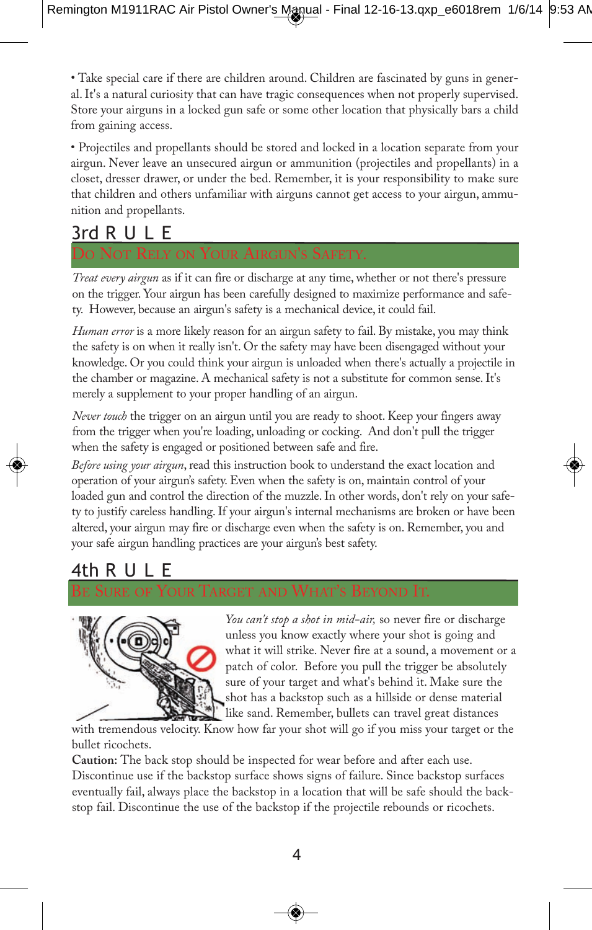• Take special care if there are children around. Children are fascinated by guns in general. It's a natural curiosity that can have tragic consequences when not properly supervised. Store your airguns in a locked gun safe or some other location that physically bars a child from gaining access.

• Projectiles and propellants should be stored and locked in a location separate from your airgun. Never leave an unsecured airgun or ammunition (projectiles and propellants) in a closet, dresser drawer, or under the bed. Remember, it is your responsibility to make sure that children and others unfamiliar with airguns cannot get access to your airgun, ammunition and propellants.

#### 3rd R U L E

#### DO NOT RELY ON YOUR AIRGUN'S SAFETY.

*Treat every airgun* as if it can fire or discharge at any time, whether or not there's pressure on the trigger. Your airgun has been carefully designed to maximize performance and safety. However, because an airgun's safety is a mechanical device, it could fail.

*Human error* is a more likely reason for an airgun safety to fail. By mistake, you may think the safety is on when it really isn't. Or the safety may have been disengaged without your knowledge. Or you could think your airgun is unloaded when there's actually a projectile in the chamber or magazine. A mechanical safety is not a substitute for common sense. It's merely a supplement to your proper handling of an airgun.

*Never touch* the trigger on an airgun until you are ready to shoot. Keep your fingers away from the trigger when you're loading, unloading or cocking. And don't pull the trigger when the safety is engaged or positioned between safe and fire.

*Before using your airgun*, read this instruction book to understand the exact location and operation of your airgun's safety. Even when the safety is on, maintain control of your loaded gun and control the direction of the muzzle. In other words, don't rely on your safety to justify careless handling. If your airgun's internal mechanisms are broken or have been altered, your airgun may fire or discharge even when the safety is on. Remember, you and your safe airgun handling practices are your airgun's best safety.

#### 4th R

#### BE SURE OF YOUR TARGET AND WHAT'S BEYOND IT.



*You can't stop a shot in mid-air,* so never fire or discharge unless you know exactly where your shot is going and what it will strike. Never fire at a sound, a movement or a patch of color. Before you pull the trigger be absolutely sure of your target and what's behind it. Make sure the shot has a backstop such as a hillside or dense material like sand. Remember, bullets can travel great distances

with tremendous velocity. Know how far your shot will go if you miss your target or the bullet ricochets.

**Caution:** The back stop should be inspected for wear before and after each use. Discontinue use if the backstop surface shows signs of failure. Since backstop surfaces eventually fail, always place the backstop in a location that will be safe should the backstop fail. Discontinue the use of the backstop if the projectile rebounds or ricochets.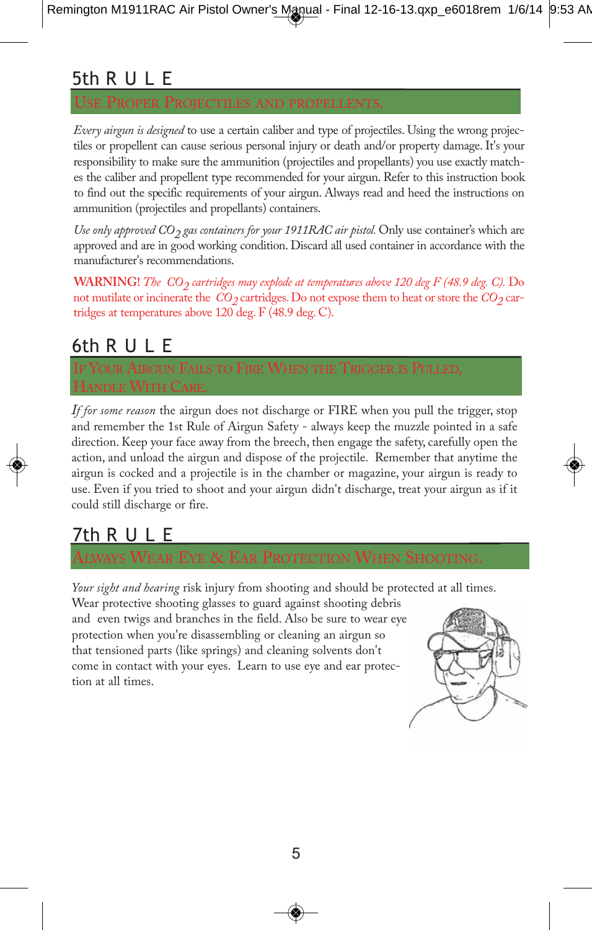#### 5th R U L E

*Every airgun is designed* to use a certain caliber and type of projectiles. Using the wrong projectiles or propellent can cause serious personal injury or death and/or property damage. It's your responsibility to make sure the ammunition (projectiles and propellants) you use exactly matches the caliber and propellent type recommended for your airgun. Refer to this instruction book to find out the specific requirements of your airgun. Always read and heed the instructions on ammunition (projectiles and propellants) containers.

*Use only approved*  $CO<sub>2</sub>$  *gas containers for your 1911RAC air pistol.* Only use container's which are approved and are in good working condition. Discard all used container in accordance with the manufacturer's recommendations.

**WARNING!** *The CO<sub>2</sub> cartridges may explode at temperatures above 120 deg F (48.9 deg. C)*. Do not mutilate or incinerate the  $CO_2$  cartridges. Do not expose them to heat or store the  $CO_2$  cartridges at temperatures above 120 deg. F (48.9 deg. C).

#### 6th R U L E

HANDLE WITH CARE.

*If for some reason* the airgun does not discharge or FIRE when you pull the trigger, stop and remember the 1st Rule of Airgun Safety - always keep the muzzle pointed in a safe direction. Keep your face away from the breech, then engage the safety, carefully open the action, and unload the airgun and dispose of the projectile. Remember that anytime the airgun is cocked and a projectile is in the chamber or magazine, your airgun is ready to use. Even if you tried to shoot and your airgun didn't discharge, treat your airgun as if it could still discharge or fire.

#### 7th R U L E

*Your sight and hearing* risk injury from shooting and should be protected at all times.

Wear protective shooting glasses to guard against shooting debris and even twigs and branches in the field. Also be sure to wear eye protection when you're disassembling or cleaning an airgun so that tensioned parts (like springs) and cleaning solvents don't come in contact with your eyes. Learn to use eye and ear protection at all times.

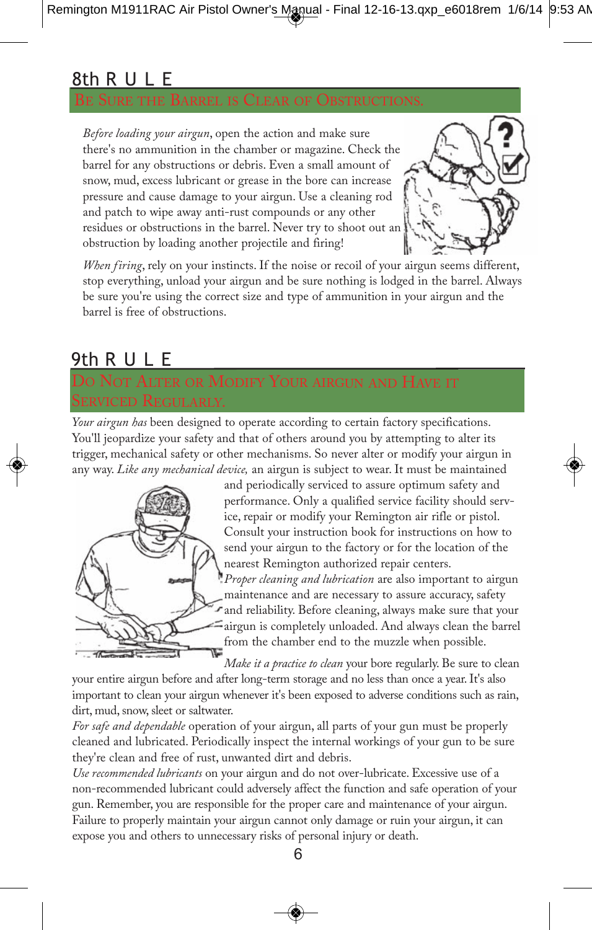#### 8th R U L E

*Before loading your airgun*, open the action and make sure there's no ammunition in the chamber or magazine. Check the barrel for any obstructions or debris. Even a small amount of snow, mud, excess lubricant or grease in the bore can increase pressure and cause damage to your airgun. Use a cleaning rod and patch to wipe away anti-rust compounds or any other residues or obstructions in the barrel. Never try to shoot out an obstruction by loading another projectile and firing!



*When firing*, rely on your instincts. If the noise or recoil of your airgun seems different, stop everything, unload your airgun and be sure nothing is lodged in the barrel. Always be sure you're using the correct size and type of ammunition in your airgun and the barrel is free of obstructions.

#### 9th R U L E

## ALTER OR MODIFY YOUR AIRGUN AND HAVE IT

*Your airgun has* been designed to operate according to certain factory specifications. You'll jeopardize your safety and that of others around you by attempting to alter its trigger, mechanical safety or other mechanisms. So never alter or modify your airgun in any way. *Like any mechanical device,* an airgun is subject to wear. It must be maintained



and periodically serviced to assure optimum safety and performance. Only a qualified service facility should service, repair or modify your Remington air rifle or pistol. Consult your instruction book for instructions on how to send your airgun to the factory or for the location of the nearest Remington authorized repair centers.

*Proper cleaning and lubrication* are also important to airgun maintenance and are necessary to assure accuracy, safety and reliability. Before cleaning, always make sure that your airgun is completely unloaded. And always clean the barrel from the chamber end to the muzzle when possible.

*Make it a practice to clean* your bore regularly. Be sure to clean

your entire airgun before and after long-term storage and no less than once a year. It's also important to clean your airgun whenever it's been exposed to adverse conditions such as rain, dirt, mud, snow, sleet or saltwater.

*For safe and dependable* operation of your airgun, all parts of your gun must be properly cleaned and lubricated. Periodically inspect the internal workings of your gun to be sure they're clean and free of rust, unwanted dirt and debris.

*Use recommended lubricants* on your airgun and do not over-lubricate. Excessive use of a non-recommended lubricant could adversely affect the function and safe operation of your gun. Remember, you are responsible for the proper care and maintenance of your airgun. Failure to properly maintain your airgun cannot only damage or ruin your airgun, it can expose you and others to unnecessary risks of personal injury or death.

6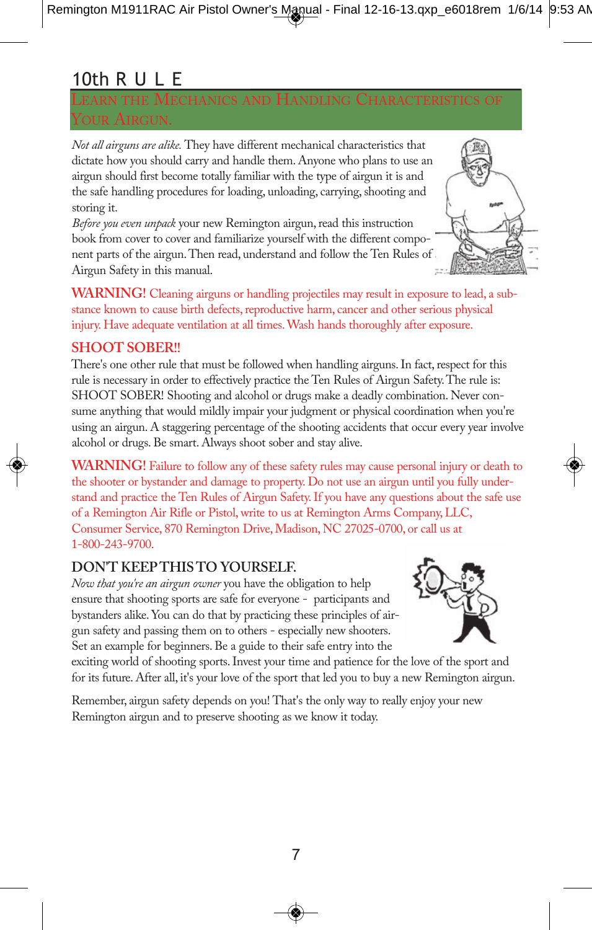#### 10th R U L E

*Not all airguns are alike.* They have different mechanical characteristics that dictate how you should carry and handle them. Anyone who plans to use an airgun should first become totally familiar with the type of airgun it is and the safe handling procedures for loading, unloading, carrying, shooting and storing it.

*Before you even unpack* your new Remington airgun, read this instruction book from cover to cover and familiarize yourself with the different component parts of the airgun. Then read, understand and follow the Ten Rules of Airgun Safety in this manual.



**WARNING!** Cleaning airguns or handling projectiles may result in exposure to lead, a substance known to cause birth defects, reproductive harm, cancer and other serious physical injury. Have adequate ventilation at all times. Wash hands thoroughly after exposure.

#### **SHOOT SOBER!!**

There's one other rule that must be followed when handling airguns. In fact, respect for this rule is necessary in order to effectively practice the Ten Rules of Airgun Safety. The rule is: SHOOT SOBER! Shooting and alcohol or drugs make a deadly combination. Never consume anything that would mildly impair your judgment or physical coordination when you're using an airgun. A staggering percentage of the shooting accidents that occur every year involve alcohol or drugs. Be smart. Always shoot sober and stay alive.

**WARNING!** Failure to follow any of these safety rules may cause personal injury or death to the shooter or bystander and damage to property. Do not use an airgun until you fully understand and practice the Ten Rules of Airgun Safety. If you have any questions about the safe use of a Remington Air Rifle or Pistol, write to us at Remington Arms Company, LLC, Consumer Service, 870 Remington Drive, Madison, NC 27025-0700, or call us at 1-800-243-9700.

#### **DON'T KEEP THIS TO YOURSELF.**

*Now that you're an airgun owner* you have the obligation to help ensure that shooting sports are safe for everyone - participants and bystanders alike. You can do that by practicing these principles of airgun safety and passing them on to others - especially new shooters. Set an example for beginners. Be a guide to their safe entry into the



exciting world of shooting sports. Invest your time and patience for the love of the sport and for its future. After all, it's your love of the sport that led you to buy a new Remington airgun.

Remember, airgun safety depends on you! That's the only way to really enjoy your new Remington airgun and to preserve shooting as we know it today.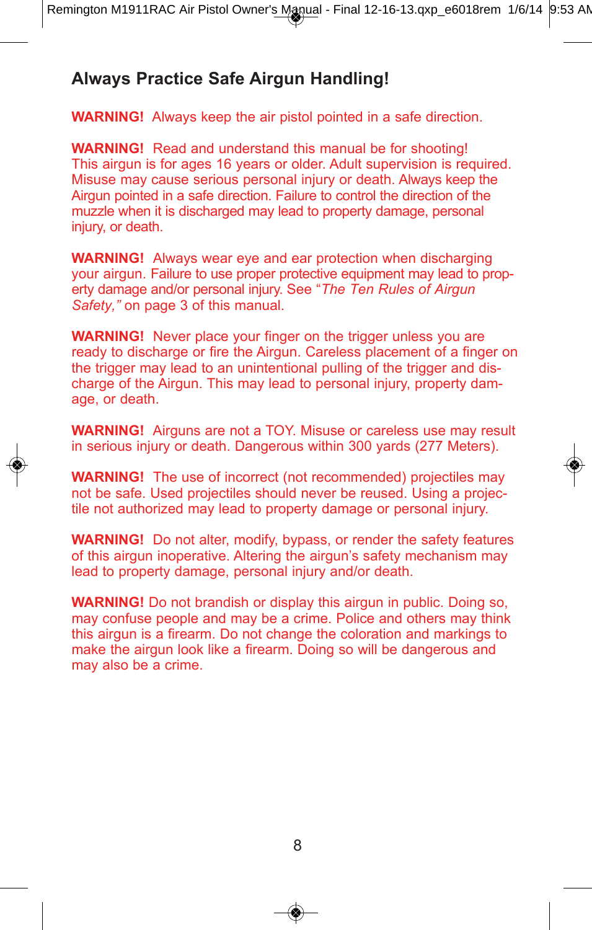#### **Always Practice Safe Airgun Handling!**

**WARNING!** Always keep the air pistol pointed in a safe direction.

**WARNING!** Read and understand this manual be for shooting! This airgun is for ages 16 years or older. Adult supervision is required. Misuse may cause serious personal injury or death. Always keep the Airgun pointed in a safe direction. Failure to control the direction of the muzzle when it is discharged may lead to property damage, personal injury, or death.

**WARNING!** Always wear eye and ear protection when discharging your airgun. Failure to use proper protective equipment may lead to property damage and/or personal injury. See "*The Ten Rules of Airgun Safety,"* on page 3 of this manual.

**WARNING!** Never place your finger on the trigger unless you are ready to discharge or fire the Airgun. Careless placement of a finger on the trigger may lead to an unintentional pulling of the trigger and discharge of the Airgun. This may lead to personal injury, property damage, or death.

**WARNING!** Airguns are not a TOY. Misuse or careless use may result in serious injury or death. Dangerous within 300 yards (277 Meters).

**WARNING!** The use of incorrect (not recommended) projectiles may not be safe. Used projectiles should never be reused. Using a projectile not authorized may lead to property damage or personal injury.

**WARNING!** Do not alter, modify, bypass, or render the safety features of this airgun inoperative. Altering the airgun's safety mechanism may lead to property damage, personal injury and/or death.

**WARNING!** Do not brandish or display this airgun in public. Doing so, may confuse people and may be a crime. Police and others may think this airgun is a firearm. Do not change the coloration and markings to make the airgun look like a firearm. Doing so will be dangerous and may also be a crime.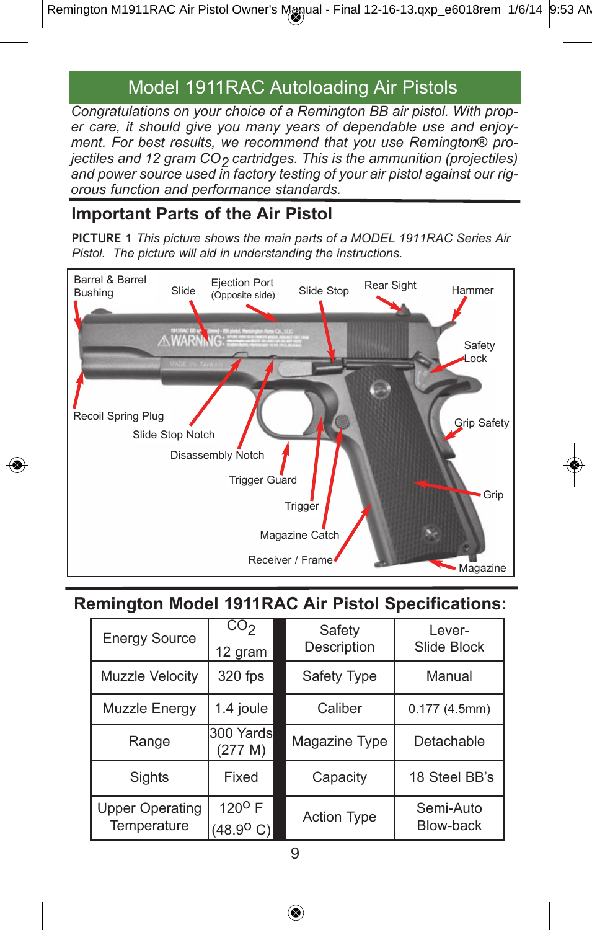#### Model 1911RAC Autoloading Air Pistols

*Congratulations on your choice of a Remington BB air pistol. With proper care, it should give you many years of dependable use and enjoyment. For best results, we recommend that you use Remington® projectiles and 12 gram CO2 cartridges. This is the ammunition (projectiles) and power source used in factory testing of your air pistol against our rigorous function and performance standards.*

#### **Important Parts of the Air Pistol**

**PiCTuRe 1** *This picture shows the main parts of a MODEL 1911RAC Series Air Pistol. The picture will aid in understanding the instructions.*



#### **Remington Model 1911RAC Air Pistol Specifications:**

| <b>Energy Source</b>                  | CO <sub>2</sub><br>12 gram                    | Safety<br>Description | Lever-<br>Slide Block  |
|---------------------------------------|-----------------------------------------------|-----------------------|------------------------|
| Muzzle Velocity                       | 320 fps                                       | Safety Type           | Manual                 |
| Muzzle Energy                         | 1.4 joule                                     | Caliber               | 0.177(4.5mm)           |
| Range                                 | 300 Yardsl<br>(277 M)                         | Magazine Type         | Detachable             |
| Sights                                | Fixed                                         | Capacity              | 18 Steel BB's          |
| <b>Upper Operating</b><br>Temperature | $120^{\circ}$ F<br>$(48.9^{\circ} \text{ C})$ | Action Type           | Semi-Auto<br>Blow-back |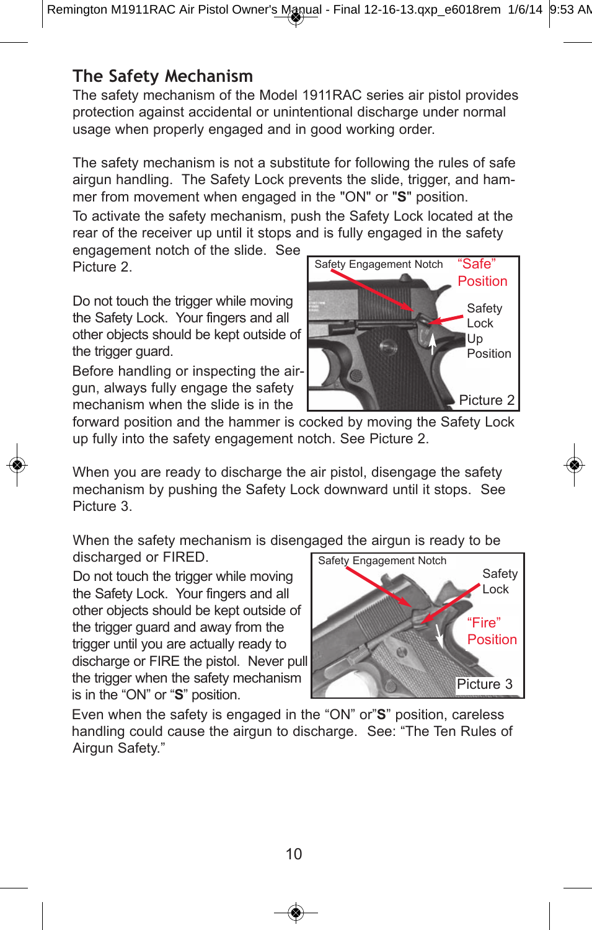#### **The safety Mechanism**

The safety mechanism of the Model 1911RAC series air pistol provides protection against accidental or unintentional discharge under normal usage when properly engaged and in good working order.

The safety mechanism is not a substitute for following the rules of safe airgun handling. The Safety Lock prevents the slide, trigger, and hammer from movement when engaged in the "ON" or "**S**" position.

To activate the safety mechanism, push the Safety Lock located at the rear of the receiver up until it stops and is fully engaged in the safety engagement notch of the slide. See

Picture 2.

Do not touch the trigger while moving the Safety Lock. Your fingers and all other objects should be kept outside of the trigger guard.

Before handling or inspecting the airgun, always fully engage the safety mechanism when the slide is in the



forward position and the hammer is cocked by moving the Safety Lock up fully into the safety engagement notch. See Picture 2.

When you are ready to discharge the air pistol, disengage the safety mechanism by pushing the Safety Lock downward until it stops. See Picture 3.

When the safety mechanism is disengaged the airgun is ready to be discharged or FIRED.

Do not touch the trigger while moving the Safety Lock. Your fingers and all other objects should be kept outside of the trigger guard and away from the trigger until you are actually ready to discharge or FIRE the pistol. Never pull the trigger when the safety mechanism is in the "ON" or "**S**" position.



Even when the safety is engaged in the "ON" or"**S**" position, careless handling could cause the airgun to discharge. See: "The Ten Rules of Airgun Safety."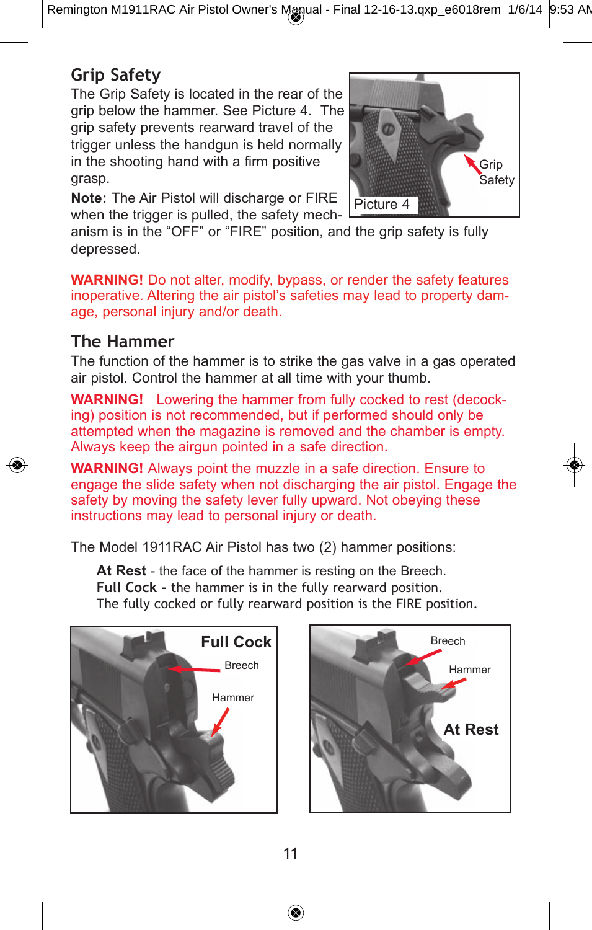Remington M1911RAC Air Pistol Owner's Manual - Final 12-16-13.qxp\_e6018rem 1/6/14 9:53 AM

#### **grip safety**

The Grip Safety is located in the rear of the grip below the hammer. See Picture 4. The grip safety prevents rearward travel of the trigger unless the handgun is held normally in the shooting hand with a firm positive grasp.

**Note:** The Air Pistol will discharge or FIRE when the trigger is pulled, the safety mech-



anism is in the "OFF" or "FIRE" position, and the grip safety is fully depressed.

**WARNING!** Do not alter, modify, bypass, or render the safety features inoperative. Altering the air pistol's safeties may lead to property damage, personal injury and/or death.

#### **The hammer**

The function of the hammer is to strike the gas valve in a gas operated air pistol. Control the hammer at all time with your thumb.

**WARNING!** Lowering the hammer from fully cocked to rest (decocking) position is not recommended, but if performed should only be attempted when the magazine is removed and the chamber is empty. Always keep the airgun pointed in a safe direction.

**WARNING!** Always point the muzzle in a safe direction. Ensure to engage the slide safety when not discharging the air pistol. Engage the safety by moving the safety lever fully upward. Not obeying these instructions may lead to personal injury or death.

The Model 1911RAC Air Pistol has two (2) hammer positions:

At Rest - the face of the hammer is resting on the Breech. **full Cock -** the hammer is in the fully rearward position. The fully cocked or fully rearward position is the FIRE position.



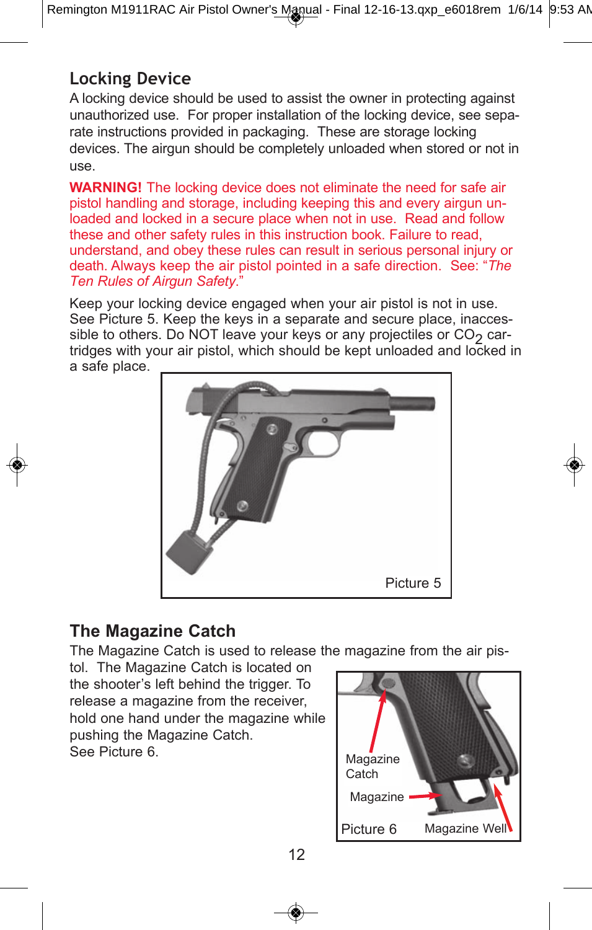#### **locking Device**

A locking device should be used to assist the owner in protecting against unauthorized use. For proper installation of the locking device, see separate instructions provided in packaging. These are storage locking devices. The airgun should be completely unloaded when stored or not in use.

**WARNING!** The locking device does not eliminate the need for safe air pistol handling and storage, including keeping this and every airgun unloaded and locked in a secure place when not in use. Read and follow these and other safety rules in this instruction book. Failure to read, understand, and obey these rules can result in serious personal injury or death. Always keep the air pistol pointed in a safe direction. See: "*The Ten Rules of Airgun Safety*."

Keep your locking device engaged when your air pistol is not in use. See Picture 5. Keep the keys in a separate and secure place, inaccessible to others. Do NOT leave your keys or any projectiles or  $CO<sub>2</sub>$  cartridges with your air pistol, which should be kept unloaded and locked in a safe place.



#### **The Magazine Catch**

The Magazine Catch is used to release the magazine from the air pis-

tol. The Magazine Catch is located on the shooter's left behind the trigger. To release a magazine from the receiver, hold one hand under the magazine while pushing the Magazine Catch. See Picture 6.

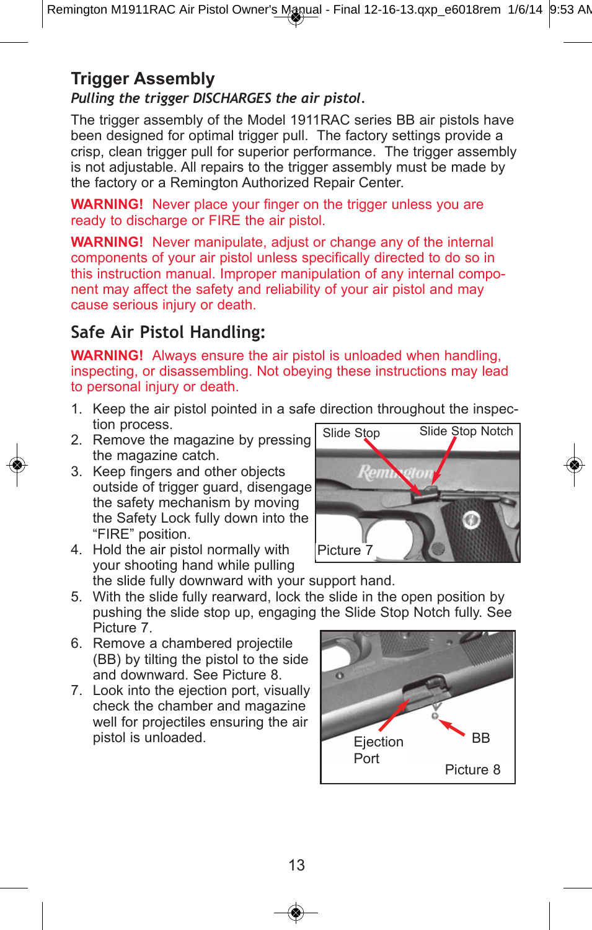#### **Trigger Assembly**

#### *Pulling the trigger DISCHARGES the air pistol.*

The trigger assembly of the Model 1911RAC series BB air pistols have been designed for optimal trigger pull. The factory settings provide a crisp, clean trigger pull for superior performance. The trigger assembly is not adjustable. All repairs to the trigger assembly must be made by the factory or a Remington Authorized Repair Center.

**WARNING!** Never place your finger on the trigger unless you are ready to discharge or FIRE the air pistol.

**WARNING!** Never manipulate, adjust or change any of the internal components of your air pistol unless specifically directed to do so in this instruction manual. Improper manipulation of any internal component may affect the safety and reliability of your air pistol and may cause serious injury or death.

#### **safe Air Pistol handling:**

**WARNING!** Always ensure the air pistol is unloaded when handling, inspecting, or disassembling. Not obeying these instructions may lead to personal injury or death.

- 1. Keep the air pistol pointed in a safe direction throughout the inspection process.
- 2. Remove the magazine by pressing the magazine catch.
- 3. Keep fingers and other objects outside of trigger guard, disengage the safety mechanism by moving the Safety Lock fully down into the "FIRE" position.
- 4. Hold the air pistol normally with your shooting hand while pulling



- the slide fully downward with your support hand. 5. With the slide fully rearward, lock the slide in the open position by pushing the slide stop up, engaging the Slide Stop Notch fully. See Picture 7.
- 6. Remove a chambered projectile (BB) by tilting the pistol to the side and downward. See Picture 8.
- 7. Look into the ejection port, visually check the chamber and magazine well for projectiles ensuring the air pistol is unloaded.

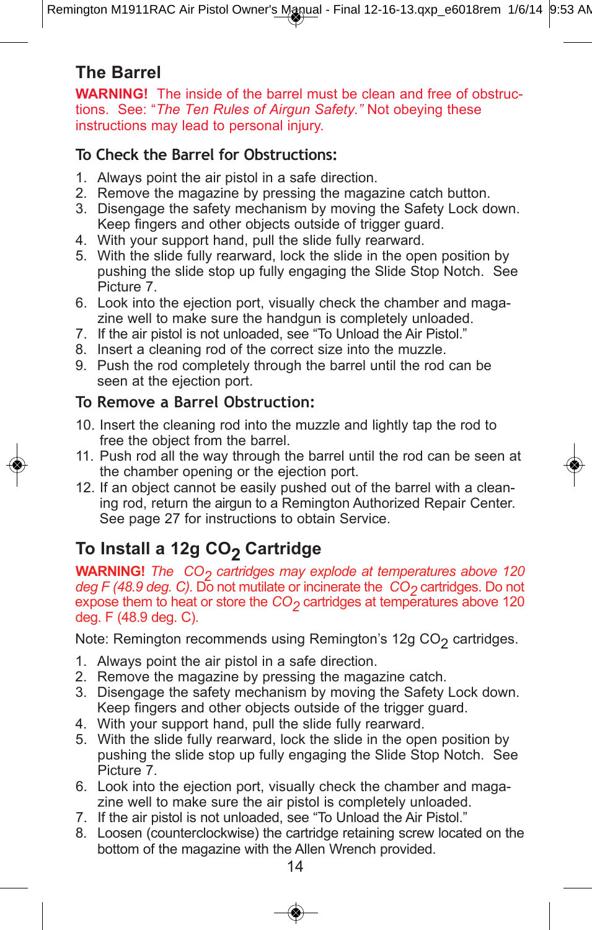#### **The Barrel**

**WARNING!** The inside of the barrel must be clean and free of obstructions. See: "*The Ten Rules of Airgun Safety."* Not obeying these instructions may lead to personal injury.

#### **To Check the Barrel for obstructions:**

- 1. Always point the air pistol in a safe direction.
- 2. Remove the magazine by pressing the magazine catch button.
- 3. Disengage the safety mechanism by moving the Safety Lock down. Keep fingers and other objects outside of trigger guard.
- 4. With your support hand, pull the slide fully rearward.
- 5. With the slide fully rearward, lock the slide in the open position by pushing the slide stop up fully engaging the Slide Stop Notch. See Picture 7.
- 6. Look into the ejection port, visually check the chamber and magazine well to make sure the handgun is completely unloaded.
- 7. If the air pistol is not unloaded, see "To Unload the Air Pistol."
- 8. Insert a cleaning rod of the correct size into the muzzle.
- 9. Push the rod completely through the barrel until the rod can be seen at the ejection port.

#### **To Remove a Barrel obstruction:**

- 10. Insert the cleaning rod into the muzzle and lightly tap the rod to free the object from the barrel.
- 11. Push rod all the way through the barrel until the rod can be seen at the chamber opening or the ejection port.
- 12. If an object cannot be easily pushed out of the barrel with a cleaning rod, return the airgun to a Remington Authorized Repair Center. See page 27 for instructions to obtain Service.

#### **To Install a 12g CO<sub>2</sub> Cartridge**

**WARNING!** *The CO<sub>2</sub> cartridges may explode at temperatures above 120 deg F (48.9 deg. C).* Do not mutilate or incinerate the *CO<sub>2</sub>* cartridges. Do not expose them to heat or store the *CO<sub>2</sub>* cartridges at temperatures above 120 deg. F (48.9 deg. C).

Note: Remington recommends using Remington's 12g  $CO<sub>2</sub>$  cartridges.

- 1. Always point the air pistol in a safe direction.
- 2. Remove the magazine by pressing the magazine catch.
- 3. Disengage the safety mechanism by moving the Safety Lock down. Keep fingers and other objects outside of the trigger guard.
- 4. With your support hand, pull the slide fully rearward.
- 5. With the slide fully rearward, lock the slide in the open position by pushing the slide stop up fully engaging the Slide Stop Notch. See Picture 7.
- 6. Look into the ejection port, visually check the chamber and magazine well to make sure the air pistol is completely unloaded.
- 7. If the air pistol is not unloaded, see "To Unload the Air Pistol."
- 8. Loosen (counterclockwise) the cartridge retaining screw located on the bottom of the magazine with the Allen Wrench provided.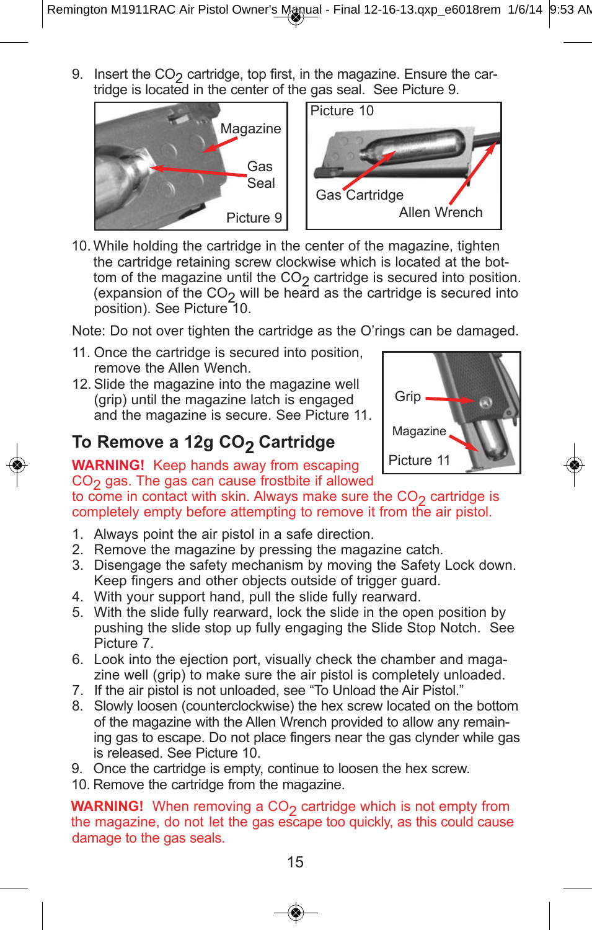9. Insert the  $CO<sub>2</sub>$  cartridge, top first, in the magazine. Ensure the cartridge is located in the center of the gas seal. See Picture 9.



10. While holding the cartridge in the center of the magazine, tighten the cartridge retaining screw clockwise which is located at the bottom of the magazine until the  $CO<sub>2</sub>$  cartridge is secured into position. (expansion of the  $CO<sub>2</sub>$  will be heard as the cartridge is secured into position). See Picture 10.

Note: Do not over tighten the cartridge as the O'rings can be damaged.

- 11. Once the cartridge is secured into position, remove the Allen Wench.
- 12. Slide the magazine into the magazine well (grip) until the magazine latch is engaged and the magazine is secure. See Picture 11.

#### **To Remove a 12g CO<sub>2</sub> Cartridge**



**WARNING!** Keep hands away from escaping  $CO<sub>2</sub>$  gas. The gas can cause frostbite if allowed

to come in contact with skin. Always make sure the  $CO<sub>2</sub>$  cartridge is completely empty before attempting to remove it from the air pistol.

- 1. Always point the air pistol in a safe direction.
- 2. Remove the magazine by pressing the magazine catch.
- 3. Disengage the safety mechanism by moving the Safety Lock down. Keep fingers and other objects outside of trigger guard.
- 4. With your support hand, pull the slide fully rearward.
- 5. With the slide fully rearward, lock the slide in the open position by pushing the slide stop up fully engaging the Slide Stop Notch. See Picture 7.
- 6. Look into the ejection port, visually check the chamber and magazine well (grip) to make sure the air pistol is completely unloaded.
- 7. If the air pistol is not unloaded, see "To Unload the Air Pistol."
- 8. Slowly loosen (counterclockwise) the hex screw located on the bottom of the magazine with the Allen Wrench provided to allow any remaining gas to escape. Do not place fingers near the gas clynder while gas is released. See Picture 10.
- 9. Once the cartridge is empty, continue to loosen the hex screw.
- 10. Remove the cartridge from the magazine.

**WARNING!** When removing a CO<sub>2</sub> cartridge which is not empty from the magazine, do not let the gas escape too quickly, as this could cause damage to the gas seals.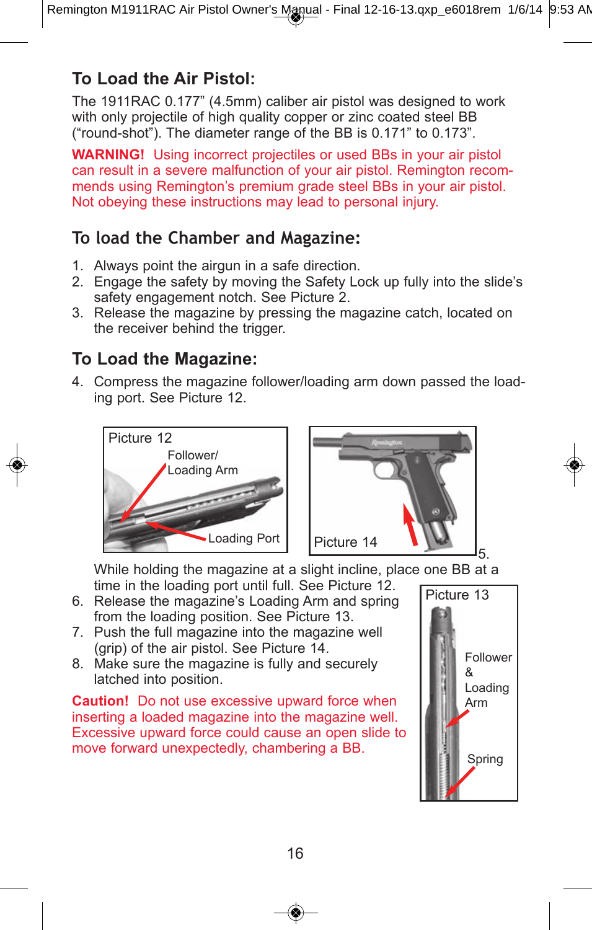#### **To Load the Air Pistol:**

The 1911RAC 0.177" (4.5mm) caliber air pistol was designed to work with only projectile of high quality copper or zinc coated steel BB ("round-shot"). The diameter range of the BB is 0.171" to 0.173".

**WARNING!** Using incorrect projectiles or used BBs in your air pistol can result in a severe malfunction of your air pistol. Remington recommends using Remington's premium grade steel BBs in your air pistol. Not obeying these instructions may lead to personal injury.

#### **To load the Chamber and Magazine:**

- 1. Always point the airgun in a safe direction.
- 2. Engage the safety by moving the Safety Lock up fully into the slide's safety engagement notch. See Picture 2.
- 3. Release the magazine by pressing the magazine catch, located on the receiver behind the trigger.

#### **To Load the Magazine:**

4. Compress the magazine follower/loading arm down passed the loading port. See Picture 12.





While holding the magazine at a slight incline, place one BB at a time in the loading port until full. See Picture 12.

- 6. Release the magazine's Loading Arm and spring from the loading position. See Picture 13.
- 7. Push the full magazine into the magazine well (grip) of the air pistol. See Picture 14.
- 8. Make sure the magazine is fully and securely latched into position.

**Caution!** Do not use excessive upward force when inserting a loaded magazine into the magazine well. Excessive upward force could cause an open slide to move forward unexpectedly, chambering a BB.

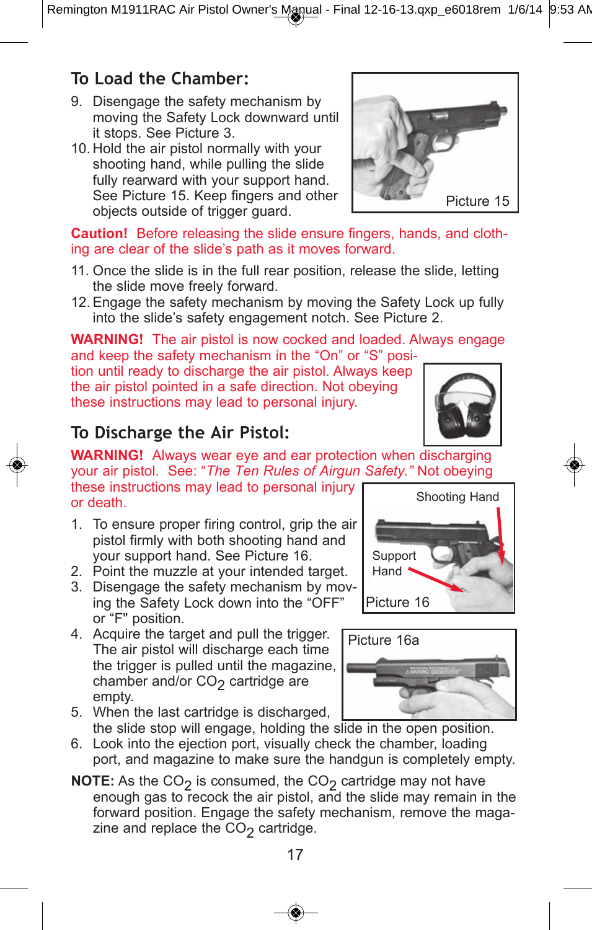Remington M1911RAC Air Pistol Owner's Manual - Final 12-16-13.qxp\_e6018rem 1/6/14 9:53 AM

#### **To load the Chamber:**

- 9. Disengage the safety mechanism by moving the Safety Lock downward until it stops. See Picture 3.
- 10. Hold the air pistol normally with your shooting hand, while pulling the slide fully rearward with your support hand. See Picture 15. Keep fingers and other objects outside of trigger guard.



**Caution!** Before releasing the slide ensure fingers, hands, and clothing are clear of the slide's path as it moves forward.

- 11. Once the slide is in the full rear position, release the slide, letting the slide move freely forward.
- 12. Engage the safety mechanism by moving the Safety Lock up fully into the slide's safety engagement notch. See Picture 2.

**WARNING!** The air pistol is now cocked and loaded. Always engage and keep the safety mechanism in the "On" or "S" posi-

tion until ready to discharge the air pistol. Always keep the air pistol pointed in a safe direction. Not obeying these instructions may lead to personal injury.



Shooting Hand

#### **To Discharge the Air Pistol:**

**WARNING!** Always wear eye and ear protection when discharging your air pistol. See: "*The Ten Rules of Airgun Safety."* Not obeying

these instructions may lead to personal injury or death.

- 1. To ensure proper firing control, grip the air pistol firmly with both shooting hand and your support hand. See Picture 16.
- 2. Point the muzzle at your intended target.
- 3. Disengage the safety mechanism by moving the Safety Lock down into the "OFF" or "F" position.
- 4. Acquire the target and pull the trigger. The air pistol will discharge each time the trigger is pulled until the magazine, chamber and/or  $CO<sub>2</sub>$  cartridge are empty.





- 5. When the last cartridge is discharged, the slide stop will engage, holding the slide in the open position.
- 6. Look into the ejection port, visually check the chamber, loading port, and magazine to make sure the handgun is completely empty.
- **NOTE:** As the CO<sub>2</sub> is consumed, the CO<sub>2</sub> cartridge may not have enough gas to recock the air pistol, and the slide may remain in the forward position. Engage the safety mechanism, remove the magazine and replace the  $CO<sub>2</sub>$  cartridge.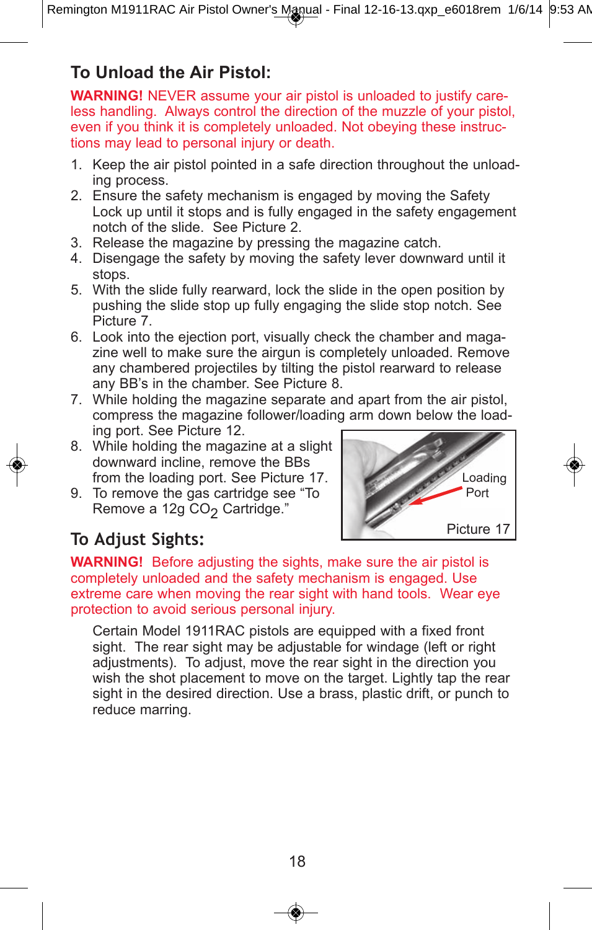#### **To Unload the Air Pistol:**

**WARNING!** NEVER assume your air pistol is unloaded to justify careless handling. Always control the direction of the muzzle of your pistol, even if you think it is completely unloaded. Not obeying these instructions may lead to personal injury or death.

- 1. Keep the air pistol pointed in a safe direction throughout the unloading process.
- 2. Ensure the safety mechanism is engaged by moving the Safety Lock up until it stops and is fully engaged in the safety engagement notch of the slide. See Picture 2.
- 3. Release the magazine by pressing the magazine catch.
- 4. Disengage the safety by moving the safety lever downward until it stops.
- 5. With the slide fully rearward, lock the slide in the open position by pushing the slide stop up fully engaging the slide stop notch. See Picture 7.
- 6. Look into the ejection port, visually check the chamber and magazine well to make sure the airgun is completely unloaded. Remove any chambered projectiles by tilting the pistol rearward to release any BB's in the chamber. See Picture 8.
- 7. While holding the magazine separate and apart from the air pistol, compress the magazine follower/loading arm down below the loading port. See Picture 12.
- 8. While holding the magazine at a slight downward incline, remove the BBs from the loading port. See Picture 17.
- 9. To remove the gas cartridge see "To Remove a 12g CO<sub>2</sub> Cartridge."



#### **To Adjust sights:**

**WARNING!** Before adjusting the sights, make sure the air pistol is completely unloaded and the safety mechanism is engaged. Use extreme care when moving the rear sight with hand tools. Wear eye protection to avoid serious personal injury.

Certain Model 1911RAC pistols are equipped with a fixed front sight. The rear sight may be adjustable for windage (left or right adjustments). To adjust, move the rear sight in the direction you wish the shot placement to move on the target. Lightly tap the rear sight in the desired direction. Use a brass, plastic drift, or punch to reduce marring.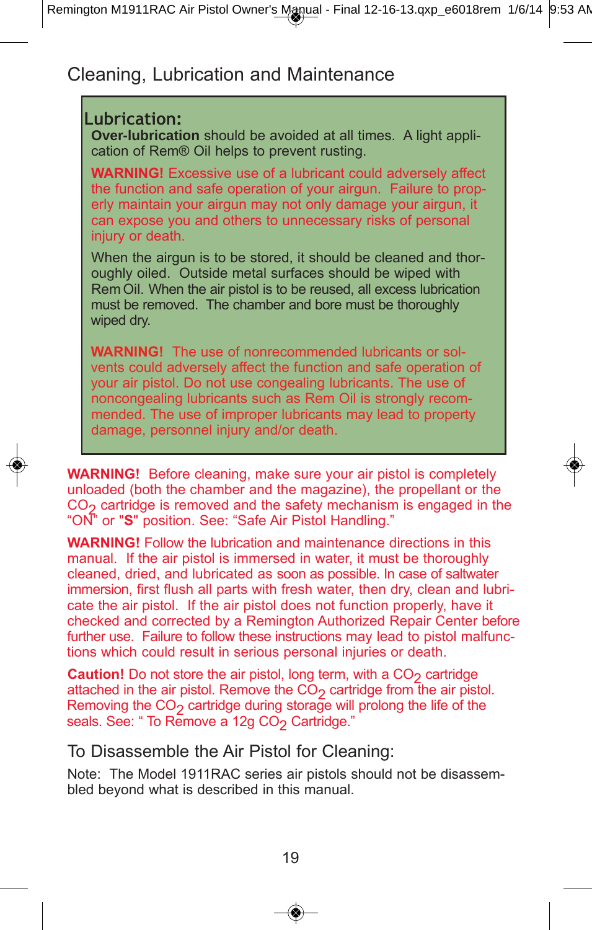#### Cleaning, Lubrication and Maintenance

#### **lubrication:**

**Over-lubrication** should be avoided at all times. A light application of Rem*®* Oil helps to prevent rusting.

**WARNING!** Excessive use of a lubricant could adversely affect the function and safe operation of your airgun. Failure to properly maintain your airgun may not only damage your airgun, it can expose you and others to unnecessary risks of personal injury or death.

When the airgun is to be stored, it should be cleaned and thoroughly oiled. Outside metal surfaces should be wiped with Rem Oil. When the air pistol is to be reused, all excess lubrication must be removed. The chamber and bore must be thoroughly wiped dry.

**WARNING!** The use of nonrecommended lubricants or solvents could adversely affect the function and safe operation of your air pistol. Do not use congealing lubricants. The use of noncongealing lubricants such as Rem Oil is strongly recommended. The use of improper lubricants may lead to property damage, personnel injury and/or death.

**WARNING!** Before cleaning, make sure your air pistol is completely unloaded (both the chamber and the magazine), the propellant or the  $CO<sub>2</sub>$  cartridge is removed and the safety mechanism is engaged in the "ON" or "**S**" position. See: "Safe Air Pistol Handling."

**WARNING!** Follow the lubrication and maintenance directions in this manual. If the air pistol is immersed in water, it must be thoroughly cleaned, dried, and lubricated as soon as possible. In case of saltwater immersion, first flush all parts with fresh water, then dry, clean and lubricate the air pistol. If the air pistol does not function properly, have it checked and corrected by a Remington Authorized Repair Center before further use. Failure to follow these instructions may lead to pistol malfunctions which could result in serious personal injuries or death.

**Caution!** Do not store the air pistol, long term, with a CO<sub>2</sub> cartridge attached in the air pistol. Remove the  $CO<sub>2</sub>$  cartridge from the air pistol. Removing the  $CO<sub>2</sub>$  cartridge during storage will prolong the life of the seals. See: " To Remove a 12g CO<sub>2</sub> Cartridge."

#### To Disassemble the Air Pistol for Cleaning:

Note: The Model 1911RAC series air pistols should not be disassembled beyond what is described in this manual.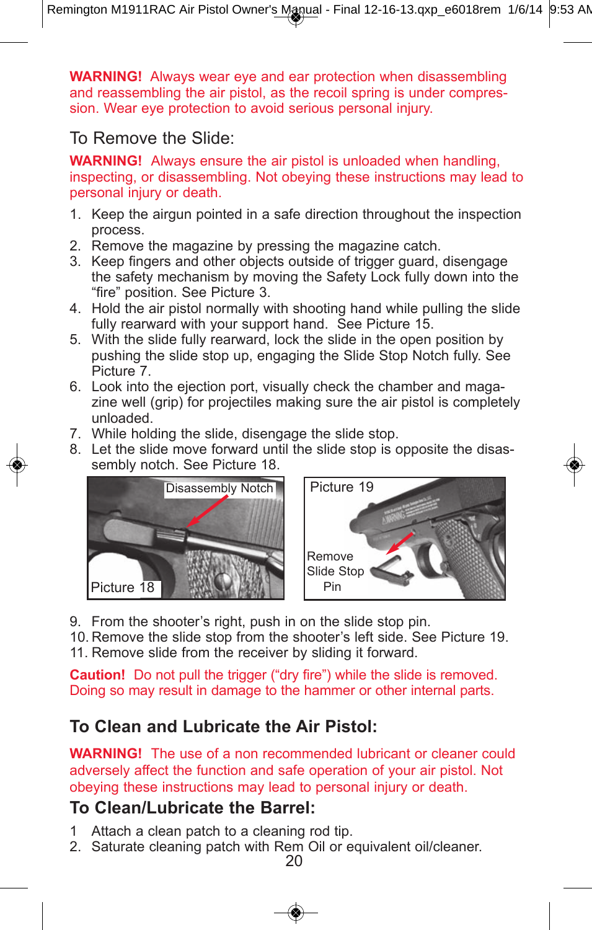**WARNING!** Always wear eye and ear protection when disassembling and reassembling the air pistol, as the recoil spring is under compression. Wear eye protection to avoid serious personal injury.

To Remove the Slide:

**WARNING!** Always ensure the air pistol is unloaded when handling, inspecting, or disassembling. Not obeying these instructions may lead to personal injury or death.

- 1. Keep the airgun pointed in a safe direction throughout the inspection process.
- 2. Remove the magazine by pressing the magazine catch.
- 3. Keep fingers and other objects outside of trigger guard, disengage the safety mechanism by moving the Safety Lock fully down into the "fire" position. See Picture 3.
- 4. Hold the air pistol normally with shooting hand while pulling the slide fully rearward with your support hand. See Picture 15.
- 5. With the slide fully rearward, lock the slide in the open position by pushing the slide stop up, engaging the Slide Stop Notch fully. See Picture 7.
- 6. Look into the ejection port, visually check the chamber and magazine well (grip) for projectiles making sure the air pistol is completely unloaded.
- 7. While holding the slide, disengage the slide stop.
- 8. Let the slide move forward until the slide stop is opposite the disassembly notch. See Picture 18.





9. From the shooter's right, push in on the slide stop pin.

10. Remove the slide stop from the shooter's left side. See Picture 19. 11. Remove slide from the receiver by sliding it forward.

**Caution!** Do not pull the trigger ("dry fire") while the slide is removed. Doing so may result in damage to the hammer or other internal parts.

#### **To Clean and Lubricate the Air Pistol:**

**WARNING!** The use of a non recommended lubricant or cleaner could adversely affect the function and safe operation of your air pistol. Not obeying these instructions may lead to personal injury or death.

#### **To Clean/Lubricate the Barrel:**

- 1 Attach a clean patch to a cleaning rod tip.
- 2. Saturate cleaning patch with Rem Oil or equivalent oil/cleaner.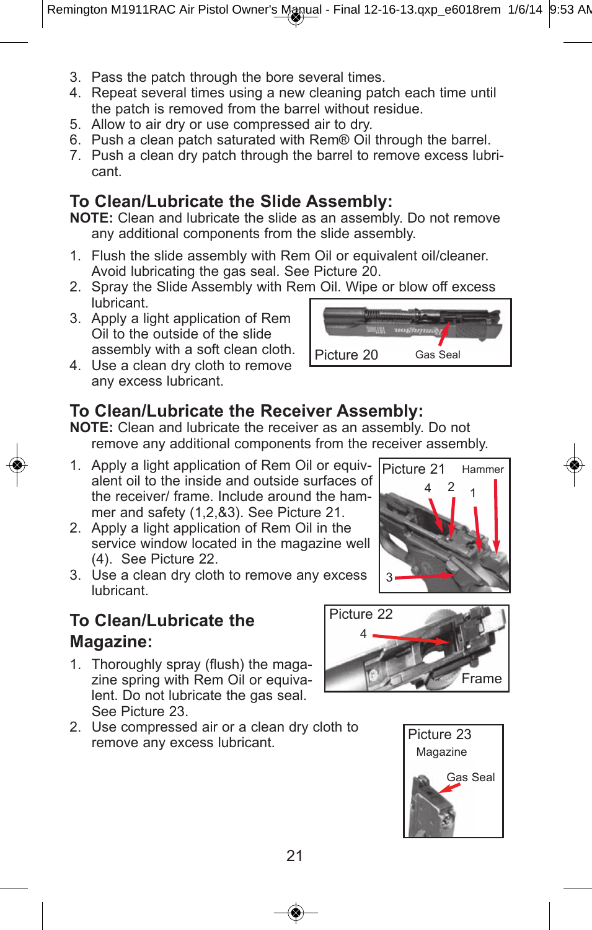- 3. Pass the patch through the bore several times.
- 4. Repeat several times using a new cleaning patch each time until the patch is removed from the barrel without residue.
- 5. Allow to air dry or use compressed air to dry.
- 6. Push a clean patch saturated with Rem*®* Oil through the barrel.
- 7. Push a clean dry patch through the barrel to remove excess lubricant.

#### **To Clean/Lubricate the Slide Assembly:**

**NOTE:** Clean and lubricate the slide as an assembly. Do not remove any additional components from the slide assembly.

- 1. Flush the slide assembly with Rem Oil or equivalent oil/cleaner. Avoid lubricating the gas seal. See Picture 20.
- 2. Spray the Slide Assembly with Rem Oil. Wipe or blow off excess lubricant.
- 3. Apply a light application of Rem Oil to the outside of the slide assembly with a soft clean cloth.
- 4. Use a clean dry cloth to remove any excess lubricant.

#### **To Clean/Lubricate the Receiver Assembly:**

**NOTE:** Clean and lubricate the receiver as an assembly. Do not remove any additional components from the receiver assembly.

- 1. Apply a light application of Rem Oil or equivalent oil to the inside and outside surfaces of the receiver/ frame. Include around the hammer and safety (1,2,&3). See Picture 21.
- 2. Apply a light application of Rem Oil in the service window located in the magazine well (4). See Picture 22.
- 3. Use a clean dry cloth to remove any excess lubricant.

#### **To Clean/Lubricate the Magazine:**

- 1. Thoroughly spray (flush) the magazine spring with Rem Oil or equivalent. Do not lubricate the gas seal. See Picture 23.
- 2. Use compressed air or a clean dry cloth to remove any excess lubricant.







Picture 21

4

3

 $\frac{2}{1}$  1

**Hammer**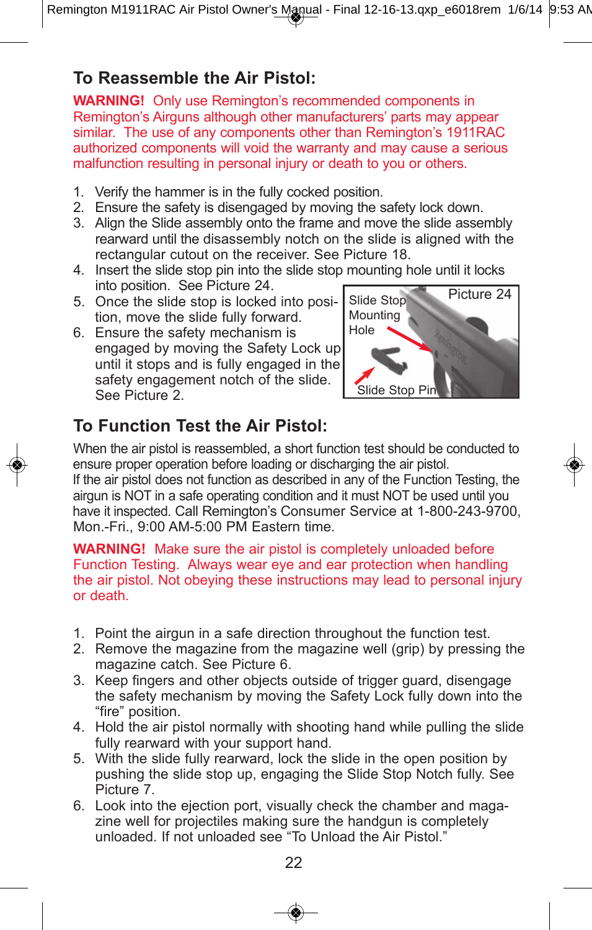#### **To Reassemble the Air Pistol:**

**WARNING!** Only use Remington's recommended components in Remington's Airguns although other manufacturers' parts may appear similar. The use of any components other than Remington's 1911RAC authorized components will void the warranty and may cause a serious malfunction resulting in personal injury or death to you or others.

- 1. Verify the hammer is in the fully cocked position.
- 2. Ensure the safety is disengaged by moving the safety lock down.
- 3. Align the Slide assembly onto the frame and move the slide assembly rearward until the disassembly notch on the slide is aligned with the rectangular cutout on the receiver. See Picture 18.
- 4. Insert the slide stop pin into the slide stop mounting hole until it locks into position. See Picture 24.
- 5. Once the slide stop is locked into position, move the slide fully forward.
- 6. Ensure the safety mechanism is engaged by moving the Safety Lock up until it stops and is fully engaged in the safety engagement notch of the slide. See Picture 2.



### **To Function Test the Air Pistol:**

When the air pistol is reassembled, a short function test should be conducted to ensure proper operation before loading or discharging the air pistol. If the air pistol does not function as described in any of the Function Testing, the airgun is NOT in a safe operating condition and it must NOT be used until you have it inspected. Call Remington's Consumer Service at 1-800-243-9700, Mon.-Fri., 9:00 AM-5:00 PM Eastern time.

**WARNING!** Make sure the air pistol is completely unloaded before Function Testing. Always wear eye and ear protection when handling the air pistol. Not obeying these instructions may lead to personal injury or death.

- 1. Point the airgun in a safe direction throughout the function test.
- 2. Remove the magazine from the magazine well (grip) by pressing the magazine catch. See Picture 6.
- 3. Keep fingers and other objects outside of trigger guard, disengage the safety mechanism by moving the Safety Lock fully down into the "fire" position.
- 4. Hold the air pistol normally with shooting hand while pulling the slide fully rearward with your support hand.
- 5. With the slide fully rearward, lock the slide in the open position by pushing the slide stop up, engaging the Slide Stop Notch fully. See Picture 7.
- 6. Look into the ejection port, visually check the chamber and magazine well for projectiles making sure the handgun is completely unloaded. If not unloaded see "To Unload the Air Pistol."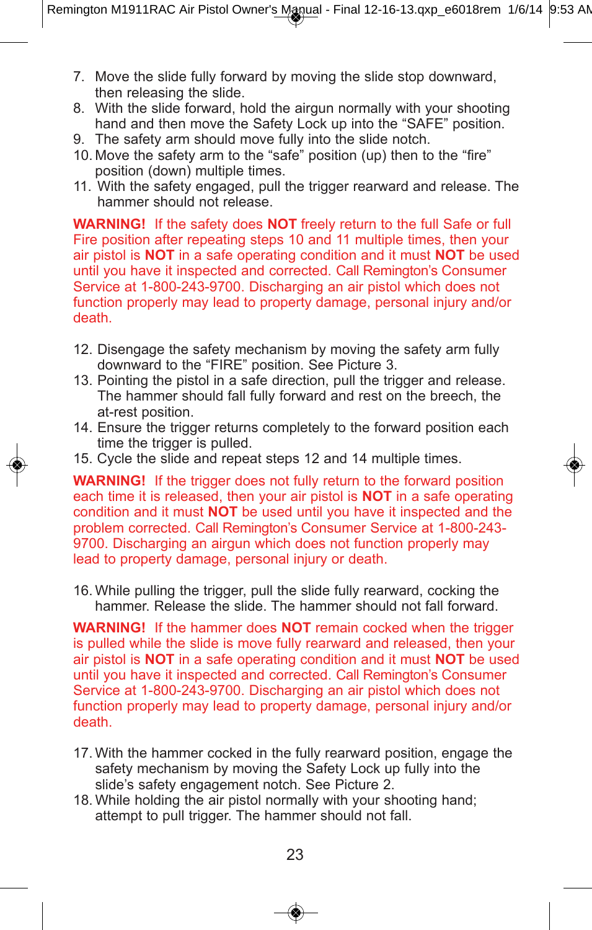- 7. Move the slide fully forward by moving the slide stop downward, then releasing the slide.
- 8. With the slide forward, hold the airgun normally with your shooting hand and then move the Safety Lock up into the "SAFE" position.
- 9. The safety arm should move fully into the slide notch.
- 10. Move the safety arm to the "safe" position (up) then to the "fire" position (down) multiple times.
- 11. With the safety engaged, pull the trigger rearward and release. The hammer should not release.

**WARNING!** If the safety does **NOT** freely return to the full Safe or full Fire position after repeating steps 10 and 11 multiple times, then your air pistol is **NOT** in a safe operating condition and it must **NOT** be used until you have it inspected and corrected. Call Remington's Consumer Service at 1-800-243-9700. Discharging an air pistol which does not function properly may lead to property damage, personal injury and/or death.

- 12. Disengage the safety mechanism by moving the safety arm fully downward to the "FIRE" position. See Picture 3.
- 13. Pointing the pistol in a safe direction, pull the trigger and release. The hammer should fall fully forward and rest on the breech, the at-rest position.
- 14. Ensure the trigger returns completely to the forward position each time the trigger is pulled.
- 15. Cycle the slide and repeat steps 12 and 14 multiple times.

**WARNING!** If the trigger does not fully return to the forward position each time it is released, then your air pistol is **NOT** in a safe operating condition and it must **NOT** be used until you have it inspected and the problem corrected. Call Remington's Consumer Service at 1-800-243- 9700. Discharging an airgun which does not function properly may lead to property damage, personal injury or death.

16. While pulling the trigger, pull the slide fully rearward, cocking the hammer. Release the slide. The hammer should not fall forward.

**WARNING!** If the hammer does **NOT** remain cocked when the trigger is pulled while the slide is move fully rearward and released, then your air pistol is **NOT** in a safe operating condition and it must **NOT** be used until you have it inspected and corrected. Call Remington's Consumer Service at 1-800-243-9700. Discharging an air pistol which does not function properly may lead to property damage, personal injury and/or death.

- 17. With the hammer cocked in the fully rearward position, engage the safety mechanism by moving the Safety Lock up fully into the slide's safety engagement notch. See Picture 2.
- 18. While holding the air pistol normally with your shooting hand; attempt to pull trigger. The hammer should not fall.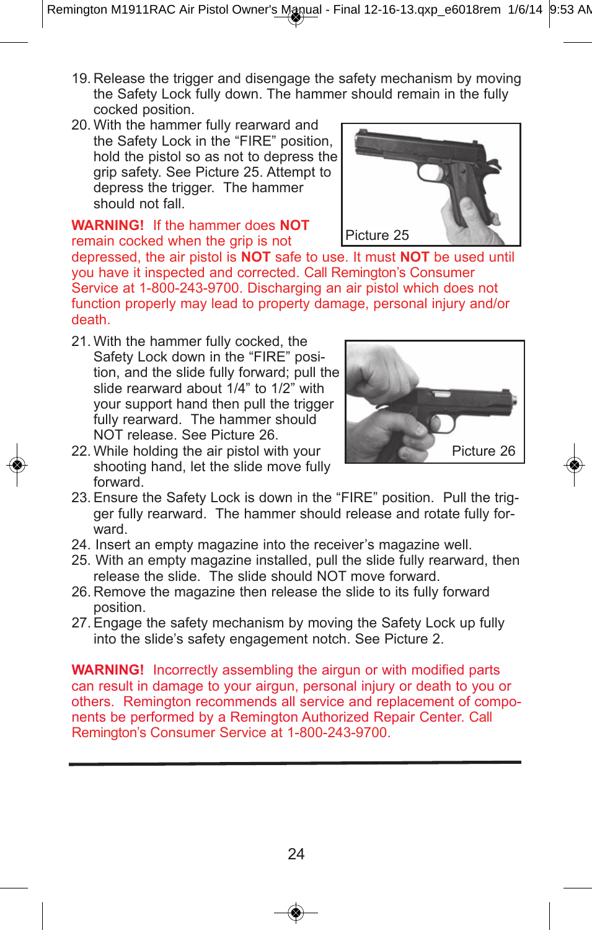- 19. Release the trigger and disengage the safety mechanism by moving the Safety Lock fully down. The hammer should remain in the fully cocked position.
- 20. With the hammer fully rearward and the Safety Lock in the "FIRE" position, hold the pistol so as not to depress the grip safety. See Picture 25. Attempt to depress the trigger. The hammer should not fall.

#### **WARNING!** If the hammer does **NOT** remain cocked when the grip is not

depressed, the air pistol is **NOT** safe to use. It must **NOT** be used until you have it inspected and corrected. Call Remington's Consumer Service at 1-800-243-9700. Discharging an air pistol which does not function properly may lead to property damage, personal injury and/or death.

21. With the hammer fully cocked, the Safety Lock down in the "FIRE" position, and the slide fully forward; pull the slide rearward about 1/4" to 1/2" with your support hand then pull the trigger fully rearward. The hammer should NOT release. See Picture 26.



- 22. While holding the air pistol with your shooting hand, let the slide move fully forward.
- 23. Ensure the Safety Lock is down in the "FIRE" position. Pull the trigger fully rearward. The hammer should release and rotate fully forward.
- 24. Insert an empty magazine into the receiver's magazine well.
- 25. With an empty magazine installed, pull the slide fully rearward, then release the slide. The slide should NOT move forward.
- 26. Remove the magazine then release the slide to its fully forward position.
- 27. Engage the safety mechanism by moving the Safety Lock up fully into the slide's safety engagement notch. See Picture 2.

**WARNING!** Incorrectly assembling the airgun or with modified parts can result in damage to your airgun, personal injury or death to you or others. Remington recommends all service and replacement of components be performed by a Remington Authorized Repair Center. Call Remington's Consumer Service at 1-800-243-9700.

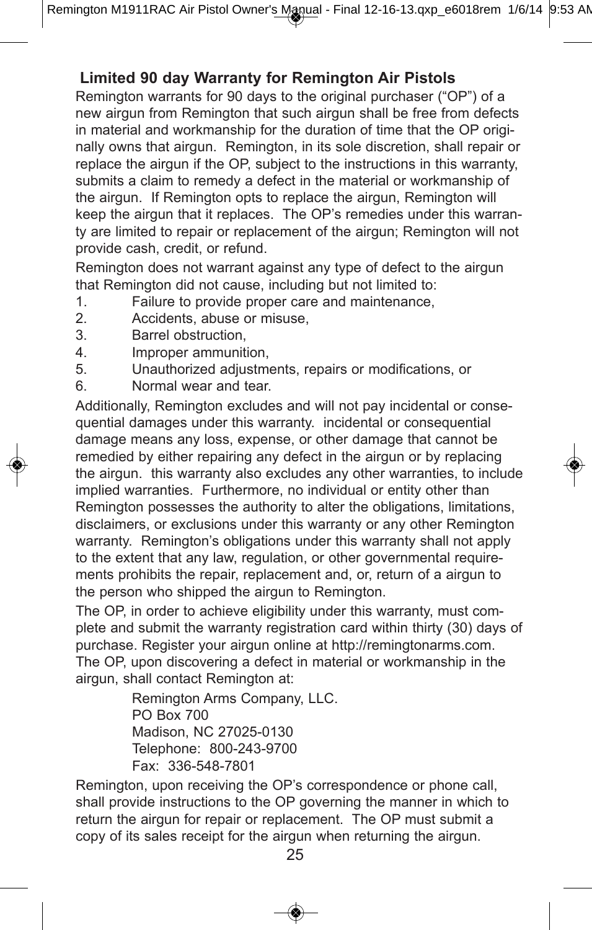#### **Limited 90 day Warranty for Remington Air Pistols**

Remington warrants for 90 days to the original purchaser ("OP") of a new airgun from Remington that such airgun shall be free from defects in material and workmanship for the duration of time that the OP originally owns that airgun. Remington, in its sole discretion, shall repair or replace the airgun if the OP, subject to the instructions in this warranty, submits a claim to remedy a defect in the material or workmanship of the airgun. If Remington opts to replace the airgun, Remington will keep the airgun that it replaces. The OP's remedies under this warranty are limited to repair or replacement of the airgun; Remington will not provide cash, credit, or refund.

Remington does not warrant against any type of defect to the airgun that Remington did not cause, including but not limited to:

- 1. Failure to provide proper care and maintenance,
- 2. Accidents, abuse or misuse,
- 3. Barrel obstruction,
- 4. Improper ammunition,
- 5. Unauthorized adjustments, repairs or modifications, or
- 6. Normal wear and tear.

Additionally, Remington excludes and will not pay incidental or consequential damages under this warranty. incidental or consequential damage means any loss, expense, or other damage that cannot be remedied by either repairing any defect in the airgun or by replacing the airgun. this warranty also excludes any other warranties, to include implied warranties. Furthermore, no individual or entity other than Remington possesses the authority to alter the obligations, limitations, disclaimers, or exclusions under this warranty or any other Remington warranty. Remington's obligations under this warranty shall not apply to the extent that any law, regulation, or other governmental requirements prohibits the repair, replacement and, or, return of a airgun to the person who shipped the airgun to Remington.

The OP, in order to achieve eligibility under this warranty, must complete and submit the warranty registration card within thirty (30) days of purchase. Register your airgun online at http://remingtonarms.com. The OP, upon discovering a defect in material or workmanship in the airgun, shall contact Remington at:

> Remington Arms Company, LLC. PO Box 700 Madison, NC 27025-0130 Telephone: 800-243-9700 Fax: 336-548-7801

Remington, upon receiving the OP's correspondence or phone call, shall provide instructions to the OP governing the manner in which to return the airgun for repair or replacement. The OP must submit a copy of its sales receipt for the airgun when returning the airgun.

25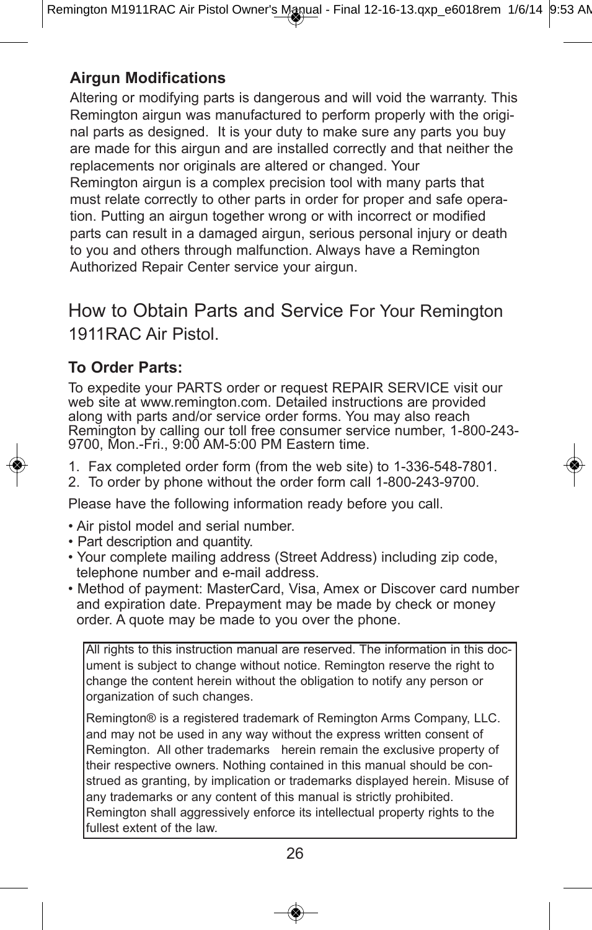#### **Airgun Modifications**

Altering or modifying parts is dangerous and will void the warranty. This Remington airgun was manufactured to perform properly with the original parts as designed. It is your duty to make sure any parts you buy are made for this airgun and are installed correctly and that neither the replacements nor originals are altered or changed. Your Remington airgun is a complex precision tool with many parts that must relate correctly to other parts in order for proper and safe operation. Putting an airgun together wrong or with incorrect or modified parts can result in a damaged airgun, serious personal injury or death to you and others through malfunction. Always have a Remington Authorized Repair Center service your airgun.

#### How to Obtain Parts and Service For Your Remington 1911RAC Air Pistol.

#### **To Order Parts:**

To expedite your PARTS order or request REPAIR SERVICE visit our web site at www.remington.com. Detailed instructions are provided along with parts and/or service order forms. You may also reach Remington by calling our toll free consumer service number, 1-800-243- 9700, Mon.-Fri., 9:00 AM-5:00 PM Eastern time.

1. Fax completed order form (from the web site) to 1-336-548-7801.

2. To order by phone without the order form call 1-800-243-9700.

Please have the following information ready before you call.

- Air pistol model and serial number.
- Part description and quantity.
- Your complete mailing address (Street Address) including zip code, telephone number and e-mail address.
- Method of payment: MasterCard, Visa, Amex or Discover card number and expiration date. Prepayment may be made by check or money order. A quote may be made to you over the phone.

All rights to this instruction manual are reserved. The information in this document is subject to change without notice. Remington reserve the right to change the content herein without the obligation to notify any person or organization of such changes.

Remington® is a registered trademark of Remington Arms Company, LLC. and may not be used in any way without the express written consent of Remington. All other trademarks herein remain the exclusive property of their respective owners. Nothing contained in this manual should be construed as granting, by implication or trademarks displayed herein. Misuse of any trademarks or any content of this manual is strictly prohibited. Remington shall aggressively enforce its intellectual property rights to the fullest extent of the law.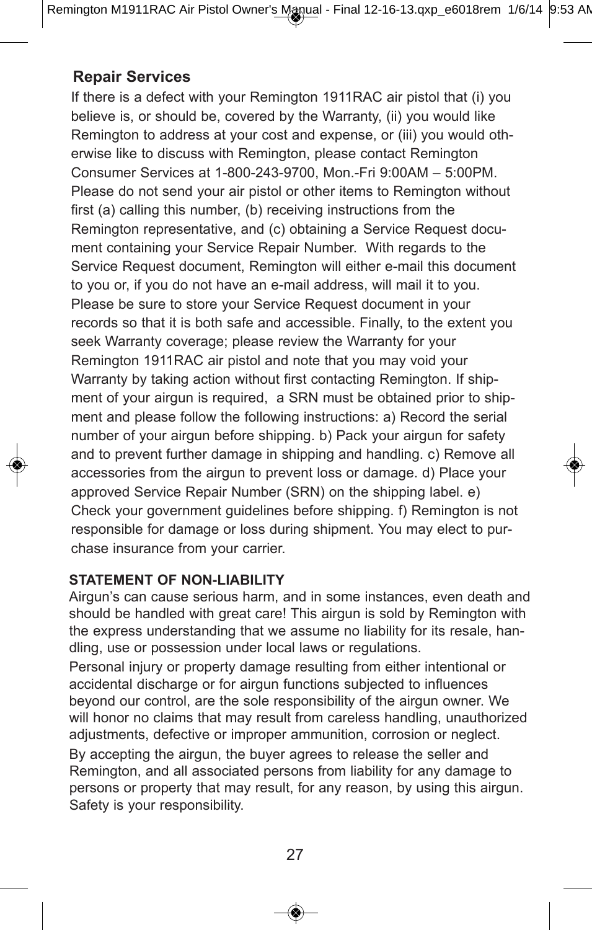#### **Repair Services**

If there is a defect with your Remington 1911RAC air pistol that (i) you believe is, or should be, covered by the Warranty, (ii) you would like Remington to address at your cost and expense, or (iii) you would otherwise like to discuss with Remington, please contact Remington Consumer Services at 1-800-243-9700, Mon.-Fri 9:00AM – 5:00PM. Please do not send your air pistol or other items to Remington without first (a) calling this number, (b) receiving instructions from the Remington representative, and (c) obtaining a Service Request document containing your Service Repair Number. With regards to the Service Request document, Remington will either e-mail this document to you or, if you do not have an e-mail address, will mail it to you. Please be sure to store your Service Request document in your records so that it is both safe and accessible. Finally, to the extent you seek Warranty coverage; please review the Warranty for your Remington 1911RAC air pistol and note that you may void your Warranty by taking action without first contacting Remington. If shipment of your airgun is required, a SRN must be obtained prior to shipment and please follow the following instructions: a) Record the serial number of your airgun before shipping. b) Pack your airgun for safety and to prevent further damage in shipping and handling. c) Remove all accessories from the airgun to prevent loss or damage. d) Place your approved Service Repair Number (SRN) on the shipping label. e) Check your government guidelines before shipping. f) Remington is not responsible for damage or loss during shipment. You may elect to purchase insurance from your carrier.

#### **STATEMENT OF NON-LIABILITY**

Airgun's can cause serious harm, and in some instances, even death and should be handled with great care! This airgun is sold by Remington with the express understanding that we assume no liability for its resale, handling, use or possession under local laws or regulations.

Personal injury or property damage resulting from either intentional or accidental discharge or for airgun functions subjected to influences beyond our control, are the sole responsibility of the airgun owner. We will honor no claims that may result from careless handling, unauthorized adjustments, defective or improper ammunition, corrosion or neglect. By accepting the airgun, the buyer agrees to release the seller and Remington, and all associated persons from liability for any damage to persons or property that may result, for any reason, by using this airgun. Safety is your responsibility.